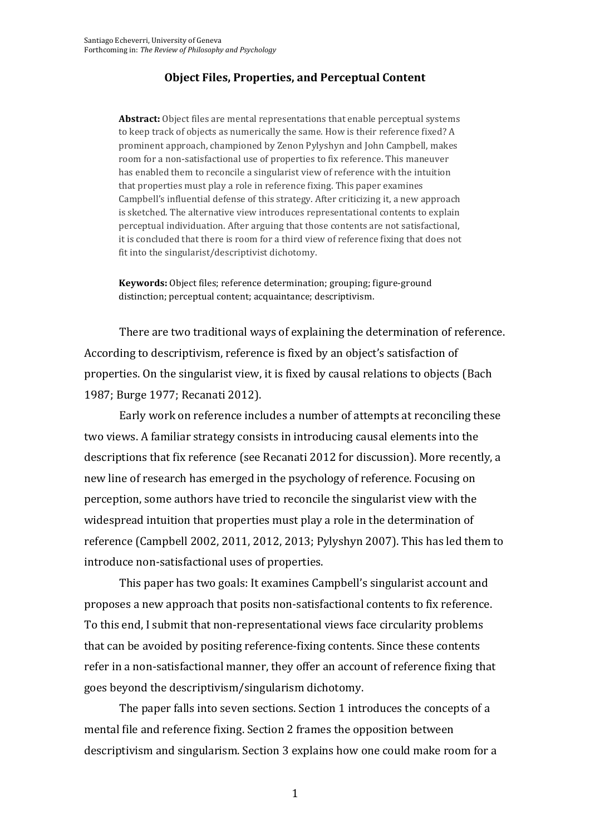### **Object Files, Properties, and Perceptual Content**

**Abstract:** Object files are mental representations that enable perceptual systems to keep track of objects as numerically the same. How is their reference fixed? A prominent approach, championed by Zenon Pylyshyn and John Campbell, makes room for a non-satisfactional use of properties to fix reference. This maneuver has enabled them to reconcile a singularist view of reference with the intuition that properties must play a role in reference fixing. This paper examines Campbell's influential defense of this strategy. After criticizing it, a new approach is sketched. The alternative view introduces representational contents to explain perceptual individuation. After arguing that those contents are not satisfactional, it is concluded that there is room for a third view of reference fixing that does not fit into the singularist/descriptivist dichotomy.

**Keywords:** Object files; reference determination; grouping; figure-ground distinction; perceptual content; acquaintance; descriptivism.

There are two traditional ways of explaining the determination of reference. According to descriptivism, reference is fixed by an object's satisfaction of properties. On the singularist view, it is fixed by causal relations to objects (Bach 1987; Burge 1977; Recanati 2012).

Early work on reference includes a number of attempts at reconciling these two views. A familiar strategy consists in introducing causal elements into the descriptions that fix reference (see Recanati 2012 for discussion). More recently, a new line of research has emerged in the psychology of reference. Focusing on perception, some authors have tried to reconcile the singularist view with the widespread intuition that properties must play a role in the determination of reference (Campbell 2002, 2011, 2012, 2013; Pylyshyn 2007). This has led them to introduce non-satisfactional uses of properties.

This paper has two goals: It examines Campbell's singularist account and proposes a new approach that posits non-satisfactional contents to fix reference. To this end, I submit that non-representational views face circularity problems that can be avoided by positing reference-fixing contents. Since these contents refer in a non-satisfactional manner, they offer an account of reference fixing that goes beyond the descriptivism/singularism dichotomy.

The paper falls into seven sections. Section 1 introduces the concepts of a mental file and reference fixing. Section 2 frames the opposition between descriptivism and singularism. Section 3 explains how one could make room for a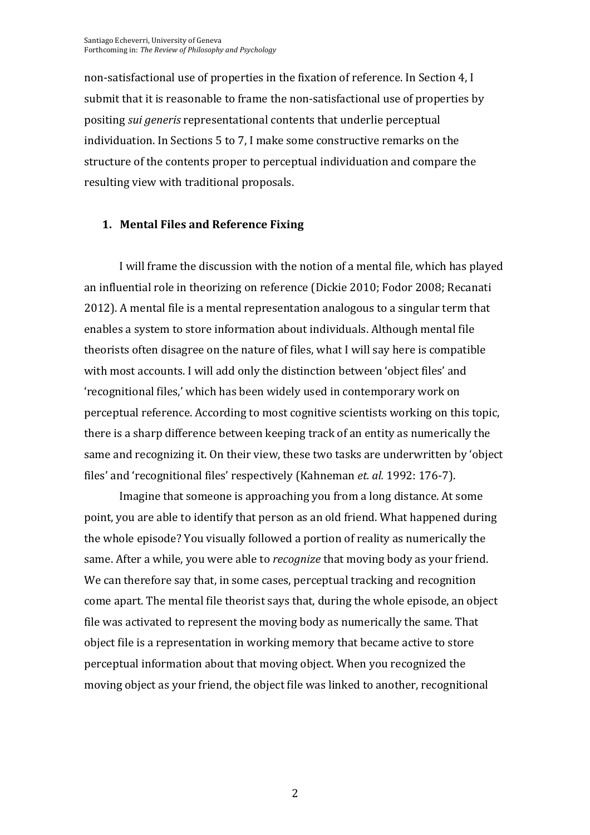non-satisfactional use of properties in the fixation of reference. In Section 4, I submit that it is reasonable to frame the non-satisfactional use of properties by positing *sui generis* representational contents that underlie perceptual individuation. In Sections 5 to 7, I make some constructive remarks on the structure of the contents proper to perceptual individuation and compare the resulting view with traditional proposals.

#### **1. Mental Files and Reference Fixing**

I will frame the discussion with the notion of a mental file, which has played an influential role in theorizing on reference (Dickie 2010; Fodor 2008; Recanati 2012). A mental file is a mental representation analogous to a singular term that enables a system to store information about individuals. Although mental file theorists often disagree on the nature of files, what I will say here is compatible with most accounts. I will add only the distinction between 'object files' and 'recognitional files,' which has been widely used in contemporary work on perceptual reference. According to most cognitive scientists working on this topic, there is a sharp difference between keeping track of an entity as numerically the same and recognizing it. On their view, these two tasks are underwritten by 'object files' and 'recognitional files' respectively (Kahneman *et. al.* 1992: 176-7).

Imagine that someone is approaching you from a long distance. At some point, you are able to identify that person as an old friend. What happened during the whole episode? You visually followed a portion of reality as numerically the same. After a while, you were able to *recognize* that moving body as your friend. We can therefore say that, in some cases, perceptual tracking and recognition come apart. The mental file theorist says that, during the whole episode, an object file was activated to represent the moving body as numerically the same. That object file is a representation in working memory that became active to store perceptual information about that moving object. When you recognized the moving object as your friend, the object file was linked to another, recognitional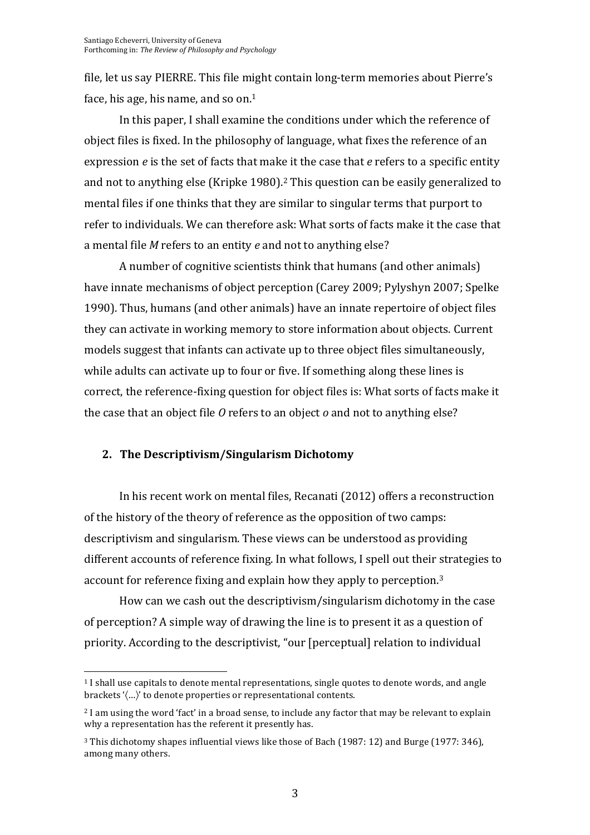file, let us say PIERRE. This file might contain long-term memories about Pierre's face, his age, his name, and so on. $1$ 

In this paper, I shall examine the conditions under which the reference of object files is fixed. In the philosophy of language, what fixes the reference of an expression  $e$  is the set of facts that make it the case that  $e$  refers to a specific entity and not to anything else (Kripke 1980).<sup>2</sup> This question can be easily generalized to mental files if one thinks that they are similar to singular terms that purport to refer to individuals. We can therefore ask: What sorts of facts make it the case that a mental file *M* refers to an entity *e* and not to anything else?

A number of cognitive scientists think that humans (and other animals) have innate mechanisms of object perception (Carey 2009; Pylyshyn 2007; Spelke 1990). Thus, humans (and other animals) have an innate repertoire of object files they can activate in working memory to store information about objects. Current models suggest that infants can activate up to three object files simultaneously, while adults can activate up to four or five. If something along these lines is correct, the reference-fixing question for object files is: What sorts of facts make it the case that an object file  $\theta$  refers to an object  $\theta$  and not to anything else?

#### **2. The Descriptivism/Singularism Dichotomy**

 

In his recent work on mental files, Recanati (2012) offers a reconstruction of the history of the theory of reference as the opposition of two camps: descriptivism and singularism. These views can be understood as providing different accounts of reference fixing. In what follows, I spell out their strategies to account for reference fixing and explain how they apply to perception.<sup>3</sup>

How can we cash out the descriptivism/singularism dichotomy in the case of perception? A simple way of drawing the line is to present it as a question of priority. According to the descriptivist, "our [perceptual] relation to individual

 $1$  I shall use capitals to denote mental representations, single quotes to denote words, and angle brackets '(...)' to denote properties or representational contents.

<sup>&</sup>lt;sup>2</sup> I am using the word 'fact' in a broad sense, to include any factor that may be relevant to explain why a representation has the referent it presently has.

 $3$  This dichotomy shapes influential views like those of Bach (1987: 12) and Burge (1977:  $346$ ), among many others.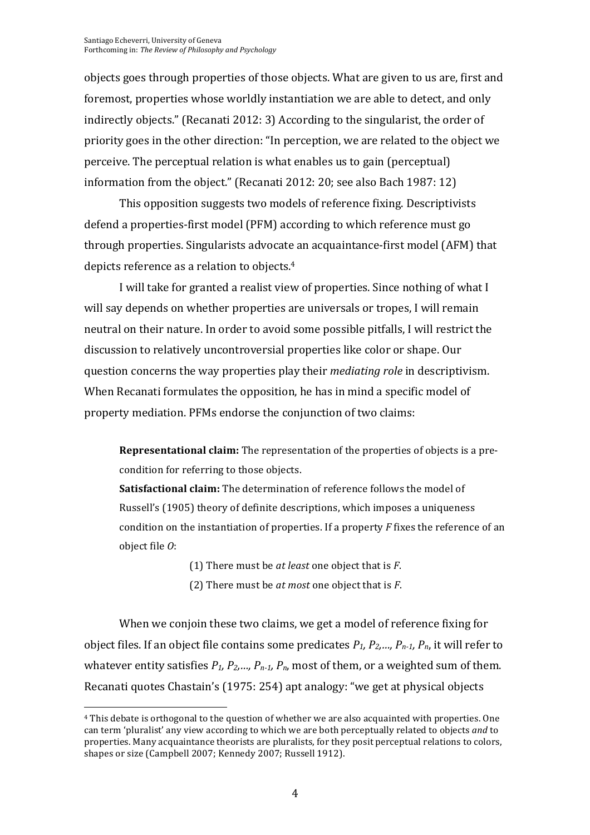objects goes through properties of those objects. What are given to us are, first and foremost, properties whose worldly instantiation we are able to detect, and only indirectly objects." (Recanati 2012: 3) According to the singularist, the order of priority goes in the other direction: "In perception, we are related to the object we perceive. The perceptual relation is what enables us to gain (perceptual) information from the object." (Recanati  $2012:20$ ; see also Bach 1987: 12)

This opposition suggests two models of reference fixing. Descriptivists defend a properties-first model (PFM) according to which reference must go through properties. Singularists advocate an acquaintance-first model (AFM) that depicts reference as a relation to objects.<sup>4</sup>

I will take for granted a realist view of properties. Since nothing of what I will say depends on whether properties are universals or tropes, I will remain neutral on their nature. In order to avoid some possible pitfalls, I will restrict the discussion to relatively uncontroversial properties like color or shape. Our question concerns the way properties play their *mediating role* in descriptivism. When Recanati formulates the opposition, he has in mind a specific model of property mediation. PFMs endorse the conjunction of two claims:

**Representational claim:** The representation of the properties of objects is a precondition for referring to those objects.

**Satisfactional claim:** The determination of reference follows the model of Russell's (1905) theory of definite descriptions, which imposes a uniqueness condition on the instantiation of properties. If a property *F* fixes the reference of an object file *O*: 

(1) There must be *at least* one object that is *F*.

(2) There must be *at most* one object that is *F*.

When we conjoin these two claims, we get a model of reference fixing for object files. If an object file contains some predicates  $P_1$ ,  $P_2$ ,  $P_n$ ,  $P_n$ , it will refer to whatever entity satisfies  $P_1$ ,  $P_2$ ,...,  $P_{n-1}$ ,  $P_n$ , most of them, or a weighted sum of them. Recanati quotes Chastain's (1975: 254) apt analogy: "we get at physical objects

<sup>&</sup>lt;sup>4</sup> This debate is orthogonal to the question of whether we are also acquainted with properties. One can term 'pluralist' any view according to which we are both perceptually related to objects *and* to properties. Many acquaintance theorists are pluralists, for they posit perceptual relations to colors, shapes or size (Campbell 2007; Kennedy 2007; Russell 1912).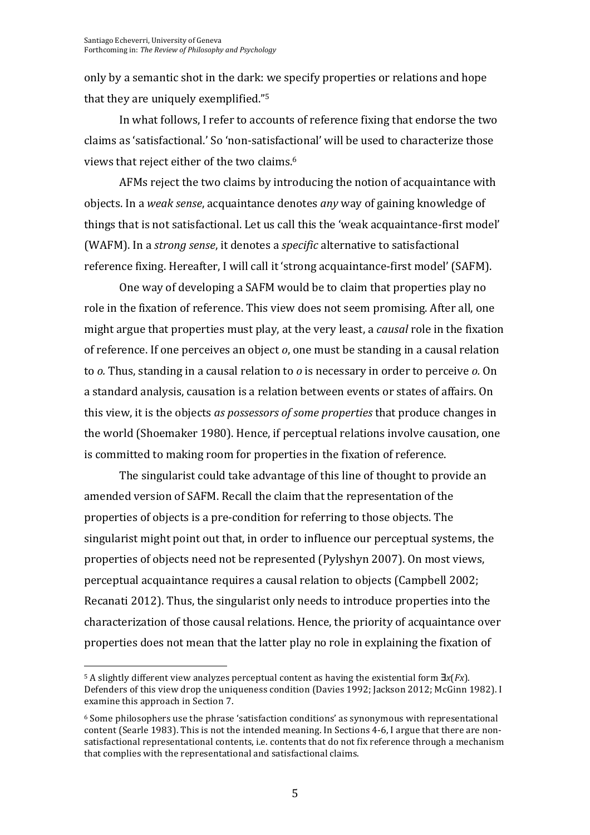only by a semantic shot in the dark: we specify properties or relations and hope that they are uniquely exemplified." $5$ 

In what follows, I refer to accounts of reference fixing that endorse the two claims as 'satisfactional.' So 'non-satisfactional' will be used to characterize those views that reject either of the two claims.<sup>6</sup>

AFMs reject the two claims by introducing the notion of acquaintance with objects. In a *weak sense*, acquaintance denotes *any* way of gaining knowledge of things that is not satisfactional. Let us call this the 'weak acquaintance-first model' (WAFM). In a *strong sense*, it denotes a *specific* alternative to satisfactional reference fixing. Hereafter, I will call it 'strong acquaintance-first model' (SAFM).

One way of developing a SAFM would be to claim that properties play no role in the fixation of reference. This view does not seem promising. After all, one might argue that properties must play, at the very least, a *causal* role in the fixation of reference. If one perceives an object *o*, one must be standing in a causal relation to *o*. Thus, standing in a causal relation to *o* is necessary in order to perceive *o*. On a standard analysis, causation is a relation between events or states of affairs. On this view, it is the objects *as possessors of some properties* that produce changes in the world (Shoemaker 1980). Hence, if perceptual relations involve causation, one is committed to making room for properties in the fixation of reference.

The singularist could take advantage of this line of thought to provide an amended version of SAFM. Recall the claim that the representation of the properties of objects is a pre-condition for referring to those objects. The singularist might point out that, in order to influence our perceptual systems, the properties of objects need not be represented (Pylyshyn 2007). On most views, perceptual acquaintance requires a causal relation to objects (Campbell 2002; Recanati 2012). Thus, the singularist only needs to introduce properties into the characterization of those causal relations. Hence, the priority of acquaintance over properties does not mean that the latter play no role in explaining the fixation of

 $5$  A slightly different view analyzes perceptual content as having the existential form  $\exists x(Fx)$ . Defenders of this view drop the uniqueness condition (Davies 1992; Jackson 2012; McGinn 1982). I examine this approach in Section 7.

 $6$  Some philosophers use the phrase 'satisfaction conditions' as synonymous with representational content (Searle 1983). This is not the intended meaning. In Sections 4-6, I argue that there are nonsatisfactional representational contents, i.e. contents that do not fix reference through a mechanism that complies with the representational and satisfactional claims.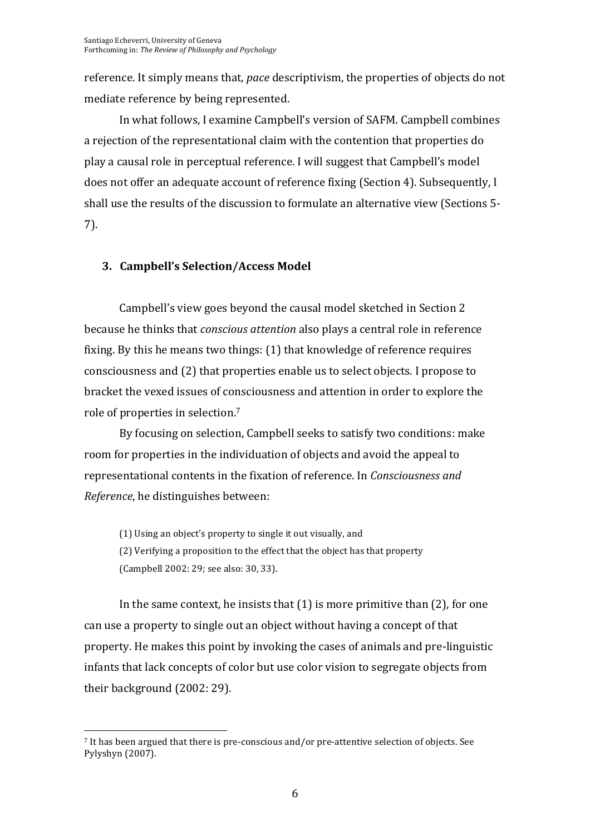reference. It simply means that, *pace* descriptivism, the properties of objects do not mediate reference by being represented.

In what follows, I examine Campbell's version of SAFM. Campbell combines a rejection of the representational claim with the contention that properties do play a causal role in perceptual reference. I will suggest that Campbell's model does not offer an adequate account of reference fixing (Section 4). Subsequently, I shall use the results of the discussion to formulate an alternative view (Sections 5-7).

# **3. Campbell's Selection/Access Model**

Campbell's view goes beyond the causal model sketched in Section 2 because he thinks that *conscious attention* also plays a central role in reference fixing. By this he means two things: (1) that knowledge of reference requires consciousness and (2) that properties enable us to select objects. I propose to bracket the vexed issues of consciousness and attention in order to explore the role of properties in selection.<sup>7</sup>

By focusing on selection, Campbell seeks to satisfy two conditions: make room for properties in the individuation of objects and avoid the appeal to representational contents in the fixation of reference. In *Consciousness and Reference*, he distinguishes between:

(1) Using an object's property to single it out visually, and (2) Verifying a proposition to the effect that the object has that property (Campbell 2002: 29; see also: 30, 33).

In the same context, he insists that  $(1)$  is more primitive than  $(2)$ , for one can use a property to single out an object without having a concept of that property. He makes this point by invoking the cases of animals and pre-linguistic infants that lack concepts of color but use color vision to segregate objects from their background (2002: 29).

<sup>&</sup>lt;sup>7</sup> It has been argued that there is pre-conscious and/or pre-attentive selection of objects. See Pylyshyn (2007).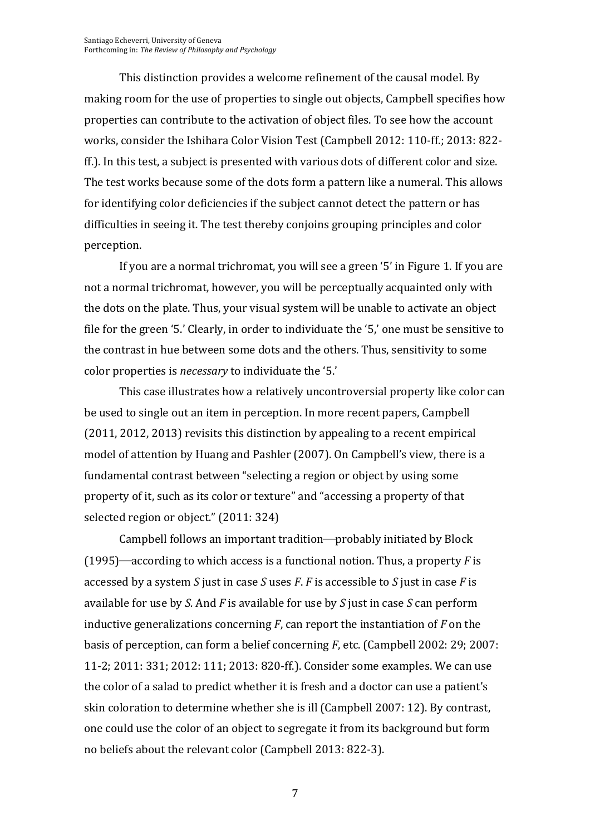This distinction provides a welcome refinement of the causal model. By making room for the use of properties to single out objects, Campbell specifies how properties can contribute to the activation of object files. To see how the account works, consider the Ishihara Color Vision Test (Campbell 2012: 110-ff.; 2013: 822ff.). In this test, a subject is presented with various dots of different color and size. The test works because some of the dots form a pattern like a numeral. This allows for identifying color deficiencies if the subject cannot detect the pattern or has difficulties in seeing it. The test thereby conjoins grouping principles and color perception.

If you are a normal trichromat, you will see a green '5' in Figure 1. If you are not a normal trichromat, however, you will be perceptually acquainted only with the dots on the plate. Thus, your visual system will be unable to activate an object file for the green '5.' Clearly, in order to individuate the '5,' one must be sensitive to the contrast in hue between some dots and the others. Thus, sensitivity to some color properties is *necessary* to individuate the '5.'

This case illustrates how a relatively uncontroversial property like color can be used to single out an item in perception. In more recent papers, Campbell  $(2011, 2012, 2013)$  revisits this distinction by appealing to a recent empirical model of attention by Huang and Pashler (2007). On Campbell's view, there is a fundamental contrast between "selecting a region or object by using some property of it, such as its color or texture" and "accessing a property of that selected region or object." (2011: 324)

Campbell follows an important tradition—probably initiated by Block (1995)—according to which access is a functional notion. Thus, a property  $F$  is accessed by a system *S* just in case *S* uses *F*. *F* is accessible to *S* just in case *F* is available for use by *S*. And *F* is available for use by *S* just in case *S* can perform inductive generalizations concerning  $F$ , can report the instantiation of  $F$  on the basis of perception, can form a belief concerning *F*, etc. (Campbell 2002: 29; 2007: 11-2; 2011: 331; 2012: 111; 2013: 820-ff.). Consider some examples. We can use the color of a salad to predict whether it is fresh and a doctor can use a patient's skin coloration to determine whether she is ill (Campbell 2007: 12). By contrast, one could use the color of an object to segregate it from its background but form no beliefs about the relevant color (Campbell 2013: 822-3).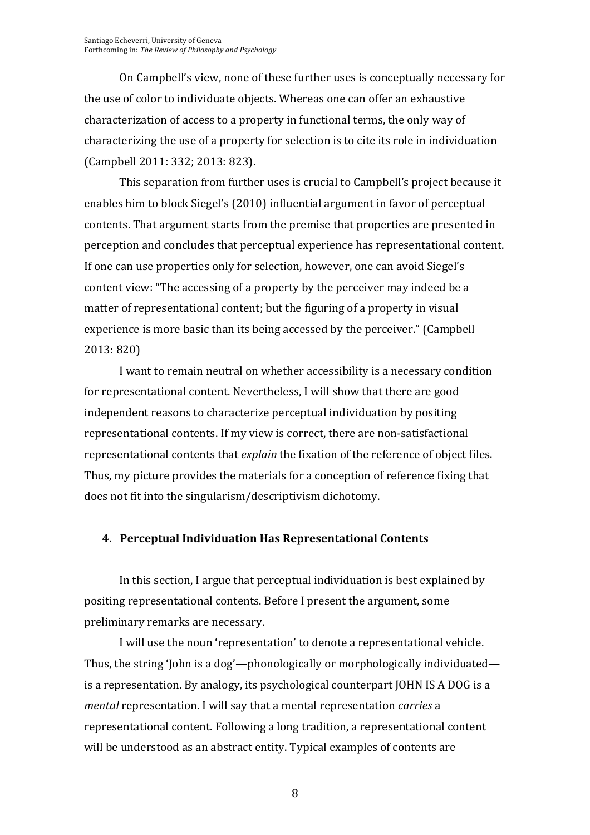On Campbell's view, none of these further uses is conceptually necessary for the use of color to individuate objects. Whereas one can offer an exhaustive characterization of access to a property in functional terms, the only way of characterizing the use of a property for selection is to cite its role in individuation (Campbell 2011: 332; 2013: 823).

This separation from further uses is crucial to Campbell's project because it enables him to block Siegel's (2010) influential argument in favor of perceptual contents. That argument starts from the premise that properties are presented in perception and concludes that perceptual experience has representational content. If one can use properties only for selection, however, one can avoid Siegel's content view: "The accessing of a property by the perceiver may indeed be a matter of representational content; but the figuring of a property in visual experience is more basic than its being accessed by the perceiver." (Campbell 2013: 820) 

I want to remain neutral on whether accessibility is a necessary condition for representational content. Nevertheless, I will show that there are good independent reasons to characterize perceptual individuation by positing representational contents. If my view is correct, there are non-satisfactional representational contents that *explain* the fixation of the reference of object files. Thus, my picture provides the materials for a conception of reference fixing that does not fit into the singularism/descriptivism dichotomy.

#### **4. Perceptual Individuation Has Representational Contents**

In this section, I argue that perceptual individuation is best explained by positing representational contents. Before I present the argument, some preliminary remarks are necessary.

I will use the noun 'representation' to denote a representational vehicle. Thus, the string 'John is a dog'—phonologically or morphologically individuated is a representation. By analogy, its psychological counterpart JOHN IS A DOG is a *mental* representation. I will say that a mental representation *carries* a representational content. Following a long tradition, a representational content will be understood as an abstract entity. Typical examples of contents are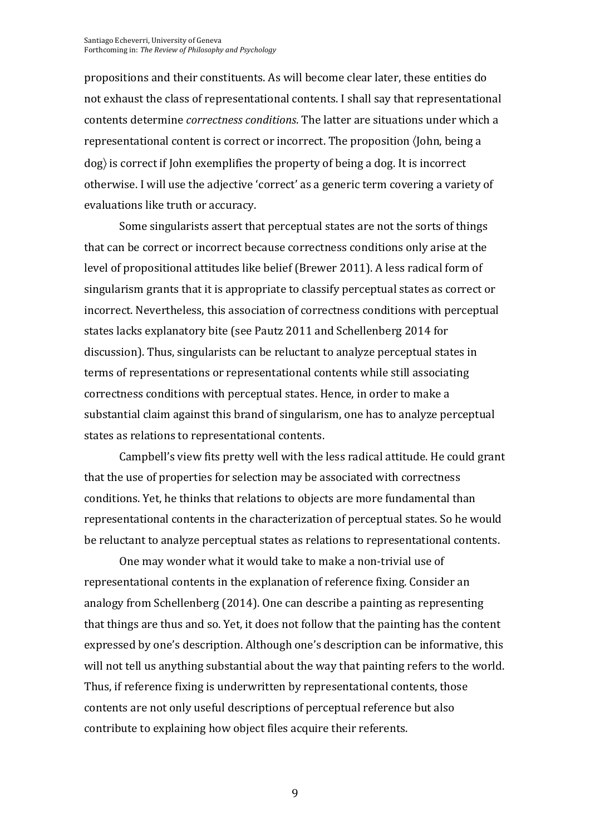propositions and their constituents. As will become clear later, these entities do not exhaust the class of representational contents. I shall say that representational contents determine *correctness conditions*. The latter are situations under which a representational content is correct or incorrect. The proposition  $\langle$  [ohn, being a  $\langle \log \rangle$  is correct if John exemplifies the property of being a dog. It is incorrect otherwise. I will use the adjective 'correct' as a generic term covering a variety of evaluations like truth or accuracy.

Some singularists assert that perceptual states are not the sorts of things that can be correct or incorrect because correctness conditions only arise at the level of propositional attitudes like belief (Brewer 2011). A less radical form of singularism grants that it is appropriate to classify perceptual states as correct or incorrect. Nevertheless, this association of correctness conditions with perceptual states lacks explanatory bite (see Pautz 2011 and Schellenberg 2014 for discussion). Thus, singularists can be reluctant to analyze perceptual states in terms of representations or representational contents while still associating correctness conditions with perceptual states. Hence, in order to make a substantial claim against this brand of singularism, one has to analyze perceptual states as relations to representational contents.

Campbell's view fits pretty well with the less radical attitude. He could grant that the use of properties for selection may be associated with correctness conditions. Yet, he thinks that relations to objects are more fundamental than representational contents in the characterization of perceptual states. So he would be reluctant to analyze perceptual states as relations to representational contents.

One may wonder what it would take to make a non-trivial use of representational contents in the explanation of reference fixing. Consider an analogy from Schellenberg (2014). One can describe a painting as representing that things are thus and so. Yet, it does not follow that the painting has the content expressed by one's description. Although one's description can be informative, this will not tell us anything substantial about the way that painting refers to the world. Thus, if reference fixing is underwritten by representational contents, those contents are not only useful descriptions of perceptual reference but also contribute to explaining how object files acquire their referents.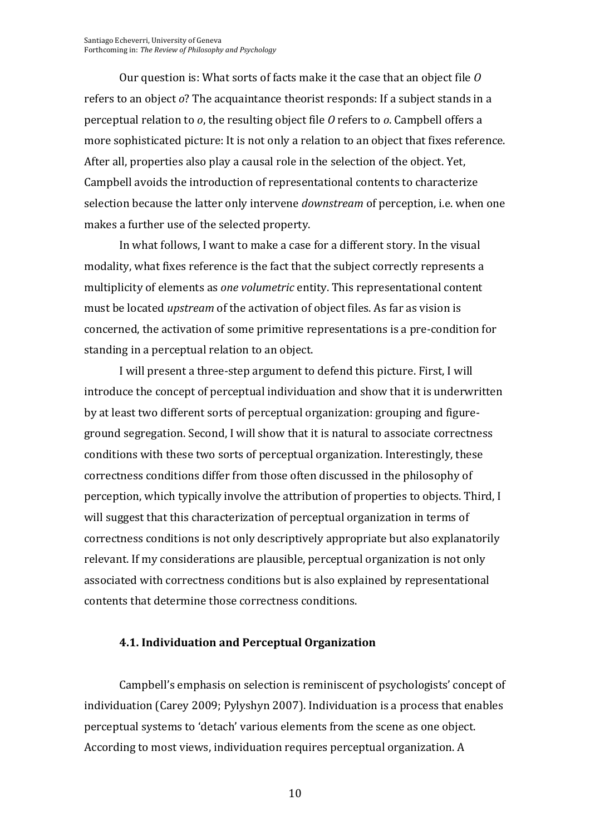Our question is: What sorts of facts make it the case that an object file O refers to an object *o*? The acquaintance theorist responds: If a subject stands in a perceptual relation to o, the resulting object file O refers to o. Campbell offers a more sophisticated picture: It is not only a relation to an object that fixes reference. After all, properties also play a causal role in the selection of the object. Yet, Campbell avoids the introduction of representational contents to characterize selection because the latter only intervene *downstream* of perception, i.e. when one makes a further use of the selected property.

In what follows, I want to make a case for a different story. In the visual modality, what fixes reference is the fact that the subject correctly represents a multiplicity of elements as *one volumetric* entity. This representational content must be located *upstream* of the activation of object files. As far as vision is concerned, the activation of some primitive representations is a pre-condition for standing in a perceptual relation to an object.

I will present a three-step argument to defend this picture. First, I will introduce the concept of perceptual individuation and show that it is underwritten by at least two different sorts of perceptual organization: grouping and figureground segregation. Second, I will show that it is natural to associate correctness conditions with these two sorts of perceptual organization. Interestingly, these correctness conditions differ from those often discussed in the philosophy of perception, which typically involve the attribution of properties to objects. Third, I will suggest that this characterization of perceptual organization in terms of correctness conditions is not only descriptively appropriate but also explanatorily relevant. If my considerations are plausible, perceptual organization is not only associated with correctness conditions but is also explained by representational contents that determine those correctness conditions.

#### **4.1. Individuation and Perceptual Organization**

Campbell's emphasis on selection is reminiscent of psychologists' concept of individuation (Carey 2009; Pylyshyn 2007). Individuation is a process that enables perceptual systems to 'detach' various elements from the scene as one object. According to most views, individuation requires perceptual organization. A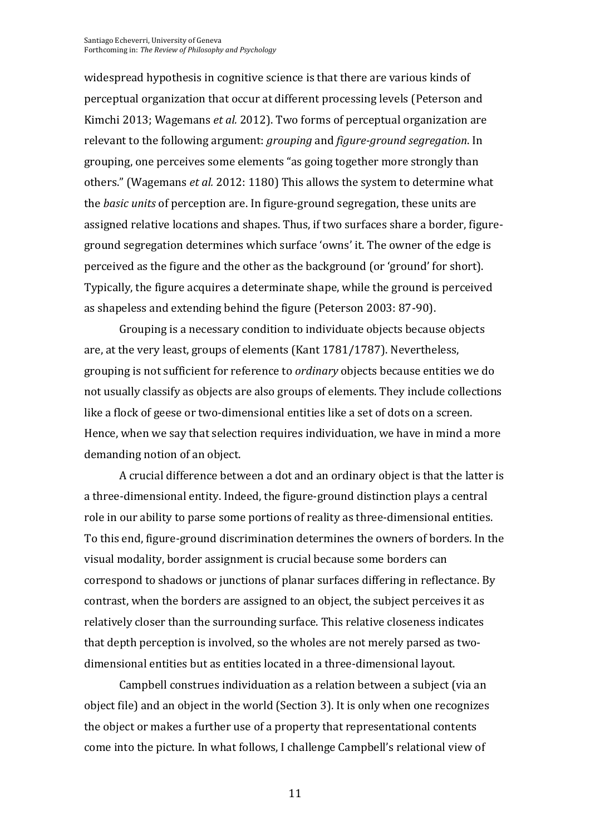widespread hypothesis in cognitive science is that there are various kinds of perceptual organization that occur at different processing levels (Peterson and Kimchi 2013; Wagemans *et al.* 2012). Two forms of perceptual organization are relevant to the following argument: *grouping* and *figure-ground segregation*. In grouping, one perceives some elements "as going together more strongly than others." (Wagemans *et al.* 2012: 1180) This allows the system to determine what the *basic units* of perception are. In figure-ground segregation, these units are assigned relative locations and shapes. Thus, if two surfaces share a border, figureground segregation determines which surface 'owns' it. The owner of the edge is perceived as the figure and the other as the background (or 'ground' for short). Typically, the figure acquires a determinate shape, while the ground is perceived as shapeless and extending behind the figure (Peterson 2003: 87-90).

Grouping is a necessary condition to individuate objects because objects are, at the very least, groups of elements (Kant 1781/1787). Nevertheless, grouping is not sufficient for reference to *ordinary* objects because entities we do not usually classify as objects are also groups of elements. They include collections like a flock of geese or two-dimensional entities like a set of dots on a screen. Hence, when we say that selection requires individuation, we have in mind a more demanding notion of an object.

A crucial difference between a dot and an ordinary object is that the latter is a three-dimensional entity. Indeed, the figure-ground distinction plays a central role in our ability to parse some portions of reality as three-dimensional entities. To this end, figure-ground discrimination determines the owners of borders. In the visual modality, border assignment is crucial because some borders can correspond to shadows or junctions of planar surfaces differing in reflectance. By contrast, when the borders are assigned to an object, the subject perceives it as relatively closer than the surrounding surface. This relative closeness indicates that depth perception is involved, so the wholes are not merely parsed as twodimensional entities but as entities located in a three-dimensional layout.

Campbell construes individuation as a relation between a subject (via an object file) and an object in the world (Section 3). It is only when one recognizes the object or makes a further use of a property that representational contents come into the picture. In what follows, I challenge Campbell's relational view of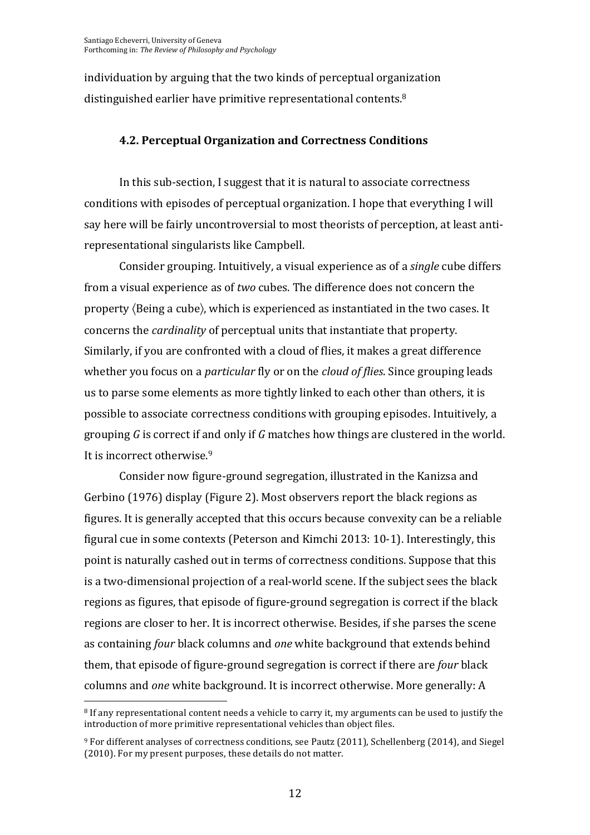individuation by arguing that the two kinds of perceptual organization distinguished earlier have primitive representational contents.<sup>8</sup>

# **4.2. Perceptual Organization and Correctness Conditions**

In this sub-section, I suggest that it is natural to associate correctness conditions with episodes of perceptual organization. I hope that everything I will say here will be fairly uncontroversial to most theorists of perception, at least antirepresentational singularists like Campbell.

Consider grouping. Intuitively, a visual experience as of a *single* cube differs from a visual experience as of *two* cubes. The difference does not concern the property (Being a cube), which is experienced as instantiated in the two cases. It concerns the *cardinality* of perceptual units that instantiate that property. Similarly, if you are confronted with a cloud of flies, it makes a great difference whether you focus on a *particular* fly or on the *cloud of flies*. Since grouping leads us to parse some elements as more tightly linked to each other than others, it is possible to associate correctness conditions with grouping episodes. Intuitively, a grouping G is correct if and only if G matches how things are clustered in the world. It is incorrect otherwise. $9$ 

Consider now figure-ground segregation, illustrated in the Kanizsa and Gerbino (1976) display (Figure 2). Most observers report the black regions as figures. It is generally accepted that this occurs because convexity can be a reliable figural cue in some contexts (Peterson and Kimchi  $2013: 10-1$ ). Interestingly, this point is naturally cashed out in terms of correctness conditions. Suppose that this is a two-dimensional projection of a real-world scene. If the subject sees the black regions as figures, that episode of figure-ground segregation is correct if the black regions are closer to her. It is incorrect otherwise. Besides, if she parses the scene as containing *four* black columns and *one* white background that extends behind them, that episode of figure-ground segregation is correct if there are *four* black columns and *one* white background. It is incorrect otherwise. More generally: A

 $8$  If any representational content needs a vehicle to carry it, my arguments can be used to justify the introduction of more primitive representational vehicles than object files.

<sup>&</sup>lt;sup>9</sup> For different analyses of correctness conditions, see Pautz (2011), Schellenberg (2014), and Siegel (2010). For my present purposes, these details do not matter.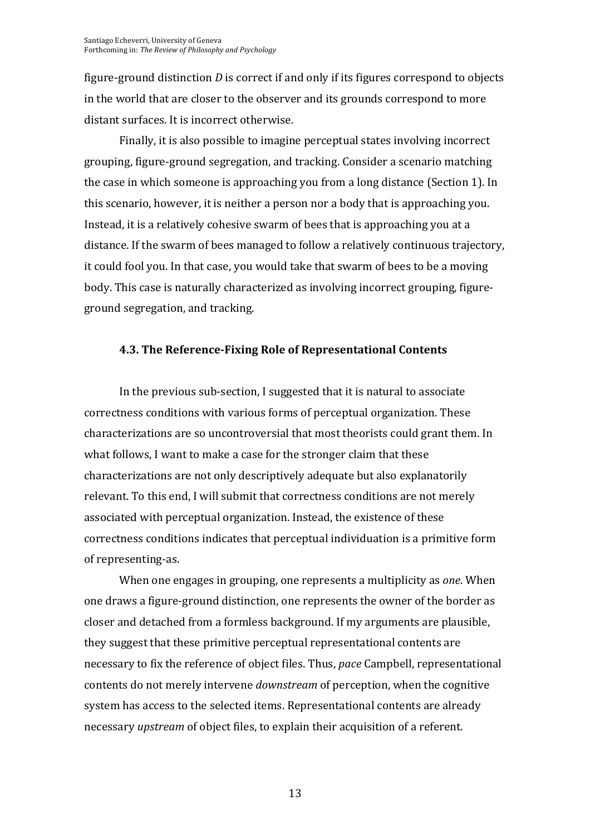figure-ground distinction  $D$  is correct if and only if its figures correspond to objects in the world that are closer to the observer and its grounds correspond to more distant surfaces. It is incorrect otherwise.

Finally, it is also possible to imagine perceptual states involving incorrect grouping, figure-ground segregation, and tracking. Consider a scenario matching the case in which someone is approaching you from a long distance (Section 1). In this scenario, however, it is neither a person nor a body that is approaching you. Instead, it is a relatively cohesive swarm of bees that is approaching you at a distance. If the swarm of bees managed to follow a relatively continuous trajectory, it could fool you. In that case, you would take that swarm of bees to be a moving body. This case is naturally characterized as involving incorrect grouping, figureground segregation, and tracking.

#### **4.3. The Reference-Fixing Role of Representational Contents**

In the previous sub-section, I suggested that it is natural to associate correctness conditions with various forms of perceptual organization. These characterizations are so uncontroversial that most theorists could grant them. In what follows, I want to make a case for the stronger claim that these characterizations are not only descriptively adequate but also explanatorily relevant. To this end, I will submit that correctness conditions are not merely associated with perceptual organization. Instead, the existence of these correctness conditions indicates that perceptual individuation is a primitive form of representing-as.

When one engages in grouping, one represents a multiplicity as *one*. When one draws a figure-ground distinction, one represents the owner of the border as closer and detached from a formless background. If my arguments are plausible, they suggest that these primitive perceptual representational contents are necessary to fix the reference of object files. Thus, *pace* Campbell, representational contents do not merely intervene *downstream* of perception, when the cognitive system has access to the selected items. Representational contents are already necessary *upstream* of object files, to explain their acquisition of a referent.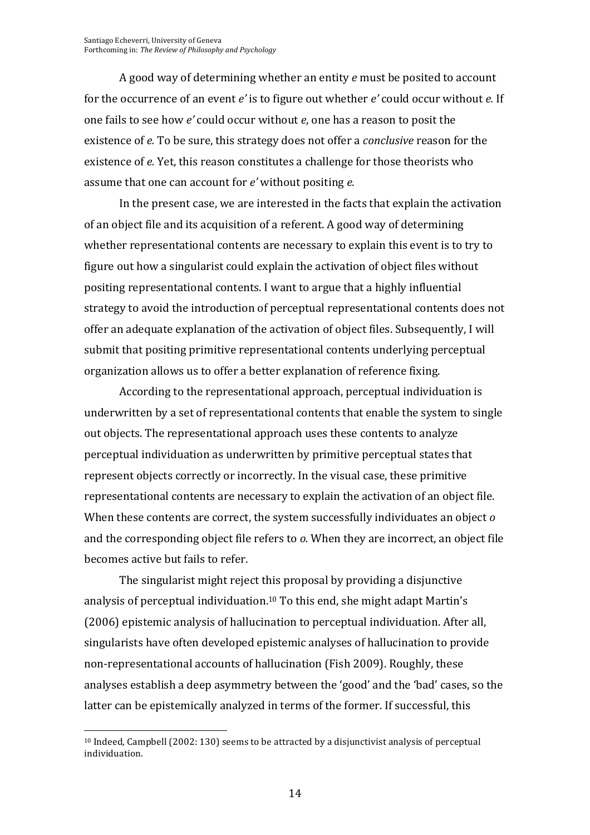A good way of determining whether an entity *e* must be posited to account for the occurrence of an event e' is to figure out whether e' could occur without e. If one fails to see how *e'* could occur without *e*, one has a reason to posit the existence of *e*. To be sure, this strategy does not offer a *conclusive* reason for the existence of e. Yet, this reason constitutes a challenge for those theorists who assume that one can account for *e'* without positing *e*.

In the present case, we are interested in the facts that explain the activation of an object file and its acquisition of a referent. A good way of determining whether representational contents are necessary to explain this event is to try to figure out how a singularist could explain the activation of object files without positing representational contents. I want to argue that a highly influential strategy to avoid the introduction of perceptual representational contents does not offer an adequate explanation of the activation of object files. Subsequently, I will submit that positing primitive representational contents underlying perceptual organization allows us to offer a better explanation of reference fixing.

According to the representational approach, perceptual individuation is underwritten by a set of representational contents that enable the system to single out objects. The representational approach uses these contents to analyze perceptual individuation as underwritten by primitive perceptual states that represent objects correctly or incorrectly. In the visual case, these primitive representational contents are necessary to explain the activation of an object file. When these contents are correct, the system successfully individuates an object *o* and the corresponding object file refers to *o*. When they are incorrect, an object file becomes active but fails to refer.

The singularist might reject this proposal by providing a disjunctive analysis of perceptual individuation.<sup>10</sup> To this end, she might adapt Martin's (2006) epistemic analysis of hallucination to perceptual individuation. After all, singularists have often developed epistemic analyses of hallucination to provide non-representational accounts of hallucination (Fish 2009). Roughly, these analyses establish a deep asymmetry between the 'good' and the 'bad' cases, so the latter can be epistemically analyzed in terms of the former. If successful, this

 $10$  Indeed, Campbell (2002: 130) seems to be attracted by a disjunctivist analysis of perceptual individuation.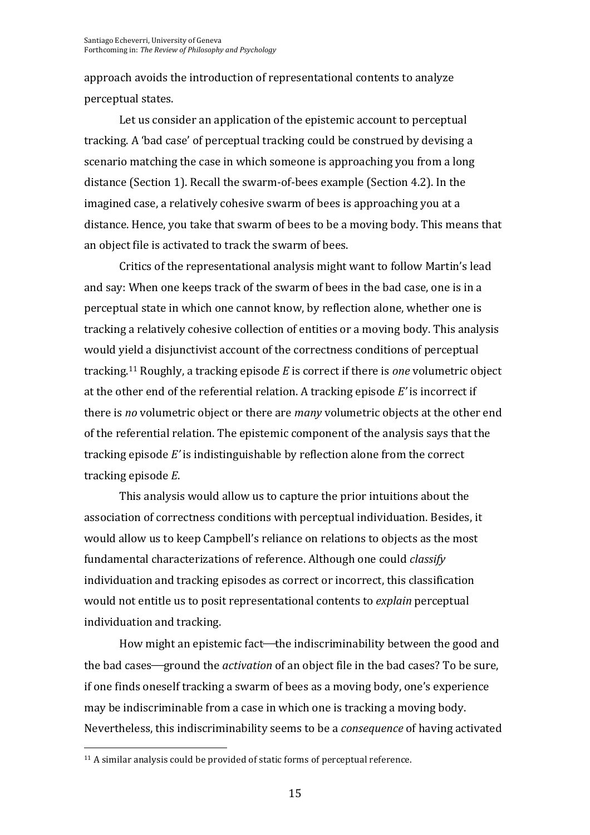approach avoids the introduction of representational contents to analyze perceptual states.

Let us consider an application of the epistemic account to perceptual tracking. A 'bad case' of perceptual tracking could be construed by devising a scenario matching the case in which someone is approaching you from a long distance (Section 1). Recall the swarm-of-bees example (Section 4.2). In the imagined case, a relatively cohesive swarm of bees is approaching you at a distance. Hence, you take that swarm of bees to be a moving body. This means that an object file is activated to track the swarm of bees.

Critics of the representational analysis might want to follow Martin's lead and say: When one keeps track of the swarm of bees in the bad case, one is in a perceptual state in which one cannot know, by reflection alone, whether one is tracking a relatively cohesive collection of entities or a moving body. This analysis would yield a disjunctivist account of the correctness conditions of perceptual tracking.<sup>11</sup> Roughly, a tracking episode *E* is correct if there is *one* volumetric object at the other end of the referential relation. A tracking episode *E'* is incorrect if there is *no* volumetric object or there are *many* volumetric objects at the other end of the referential relation. The epistemic component of the analysis says that the tracking episode *E'* is indistinguishable by reflection alone from the correct tracking episode *E*. 

This analysis would allow us to capture the prior intuitions about the association of correctness conditions with perceptual individuation. Besides, it would allow us to keep Campbell's reliance on relations to objects as the most fundamental characterizations of reference. Although one could *classify* individuation and tracking episodes as correct or incorrect, this classification would not entitle us to posit representational contents to *explain* perceptual individuation and tracking.

How might an epistemic fact—the indiscriminability between the good and the bad cases—ground the *activation* of an object file in the bad cases? To be sure, if one finds oneself tracking a swarm of bees as a moving body, one's experience may be indiscriminable from a case in which one is tracking a moving body. Nevertheless, this indiscriminability seems to be a *consequence* of having activated

 $11$  A similar analysis could be provided of static forms of perceptual reference.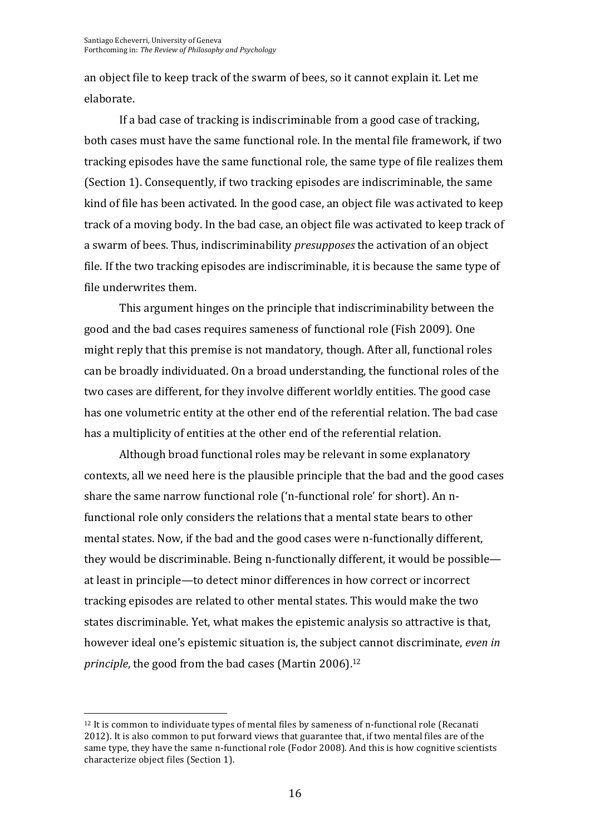an object file to keep track of the swarm of bees, so it cannot explain it. Let me elaborate.

If a bad case of tracking is indiscriminable from a good case of tracking, both cases must have the same functional role. In the mental file framework, if two tracking episodes have the same functional role, the same type of file realizes them (Section 1). Consequently, if two tracking episodes are indiscriminable, the same kind of file has been activated. In the good case, an object file was activated to keep track of a moving body. In the bad case, an object file was activated to keep track of a swarm of bees. Thus, indiscriminability *presupposes* the activation of an object file. If the two tracking episodes are indiscriminable, it is because the same type of file underwrites them.

This argument hinges on the principle that indiscriminability between the good and the bad cases requires sameness of functional role (Fish 2009). One might reply that this premise is not mandatory, though. After all, functional roles can be broadly individuated. On a broad understanding, the functional roles of the two cases are different, for they involve different worldly entities. The good case has one volumetric entity at the other end of the referential relation. The bad case has a multiplicity of entities at the other end of the referential relation.

Although broad functional roles may be relevant in some explanatory contexts, all we need here is the plausible principle that the bad and the good cases share the same narrow functional role ('n-functional role' for short). An nfunctional role only considers the relations that a mental state bears to other mental states. Now, if the bad and the good cases were n-functionally different, they would be discriminable. Being n-functionally different, it would be possible at least in principle—to detect minor differences in how correct or incorrect tracking episodes are related to other mental states. This would make the two states discriminable. Yet, what makes the epistemic analysis so attractive is that, however ideal one's epistemic situation is, the subject cannot discriminate, *even in* principle, the good from the bad cases (Martin 2006).<sup>12</sup>

 $12$  It is common to individuate types of mental files by sameness of n-functional role (Recanati 2012). It is also common to put forward views that guarantee that, if two mental files are of the same type, they have the same n-functional role (Fodor 2008). And this is how cognitive scientists characterize object files (Section 1).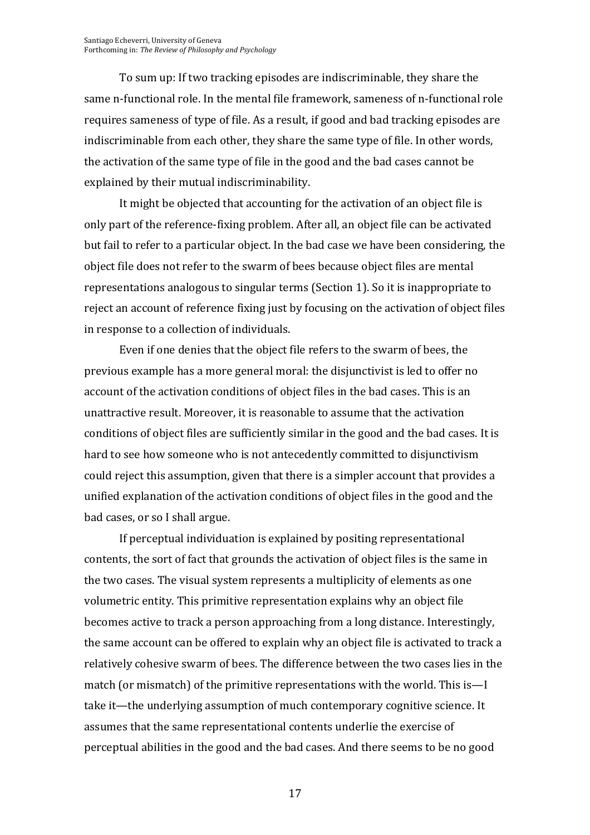To sum up: If two tracking episodes are indiscriminable, they share the same n-functional role. In the mental file framework, sameness of n-functional role requires sameness of type of file. As a result, if good and bad tracking episodes are indiscriminable from each other, they share the same type of file. In other words, the activation of the same type of file in the good and the bad cases cannot be explained by their mutual indiscriminability.

It might be objected that accounting for the activation of an object file is only part of the reference-fixing problem. After all, an object file can be activated but fail to refer to a particular object. In the bad case we have been considering, the object file does not refer to the swarm of bees because object files are mental representations analogous to singular terms (Section 1). So it is inappropriate to reject an account of reference fixing just by focusing on the activation of object files in response to a collection of individuals.

Even if one denies that the object file refers to the swarm of bees, the previous example has a more general moral: the disjunctivist is led to offer no account of the activation conditions of object files in the bad cases. This is an unattractive result. Moreover, it is reasonable to assume that the activation conditions of object files are sufficiently similar in the good and the bad cases. It is hard to see how someone who is not antecedently committed to disjunctivism could reject this assumption, given that there is a simpler account that provides a unified explanation of the activation conditions of object files in the good and the bad cases, or so I shall argue.

If perceptual individuation is explained by positing representational contents, the sort of fact that grounds the activation of object files is the same in the two cases. The visual system represents a multiplicity of elements as one volumetric entity. This primitive representation explains why an object file becomes active to track a person approaching from a long distance. Interestingly, the same account can be offered to explain why an object file is activated to track a relatively cohesive swarm of bees. The difference between the two cases lies in the match (or mismatch) of the primitive representations with the world. This is—I take it—the underlying assumption of much contemporary cognitive science. It assumes that the same representational contents underlie the exercise of perceptual abilities in the good and the bad cases. And there seems to be no good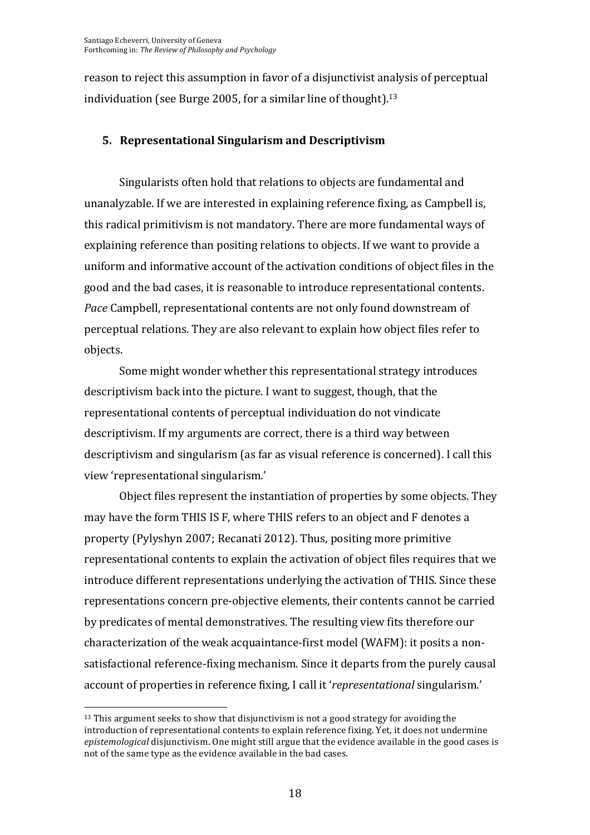reason to reject this assumption in favor of a disjunctivist analysis of perceptual individuation (see Burge 2005, for a similar line of thought).<sup>13</sup>

# **5. Representational Singularism and Descriptivism**

Singularists often hold that relations to objects are fundamental and unanalyzable. If we are interested in explaining reference fixing, as Campbell is, this radical primitivism is not mandatory. There are more fundamental ways of explaining reference than positing relations to objects. If we want to provide a uniform and informative account of the activation conditions of object files in the good and the bad cases, it is reasonable to introduce representational contents. Pace Campbell, representational contents are not only found downstream of perceptual relations. They are also relevant to explain how object files refer to objects. 

Some might wonder whether this representational strategy introduces descriptivism back into the picture. I want to suggest, though, that the representational contents of perceptual individuation do not vindicate descriptivism. If my arguments are correct, there is a third way between descriptivism and singularism (as far as visual reference is concerned). I call this view 'representational singularism.'

Object files represent the instantiation of properties by some objects. They may have the form THIS IS F, where THIS refers to an object and F denotes a property (Pylyshyn 2007; Recanati 2012). Thus, positing more primitive representational contents to explain the activation of object files requires that we introduce different representations underlying the activation of THIS. Since these representations concern pre-objective elements, their contents cannot be carried by predicates of mental demonstratives. The resulting view fits therefore our characterization of the weak acquaintance-first model (WAFM): it posits a nonsatisfactional reference-fixing mechanism. Since it departs from the purely causal account of properties in reference fixing, I call it 'representational singularism.'

 $13$  This argument seeks to show that disjunctivism is not a good strategy for avoiding the introduction of representational contents to explain reference fixing. Yet, it does not undermine epistemological disjunctivism. One might still argue that the evidence available in the good cases is not of the same type as the evidence available in the bad cases.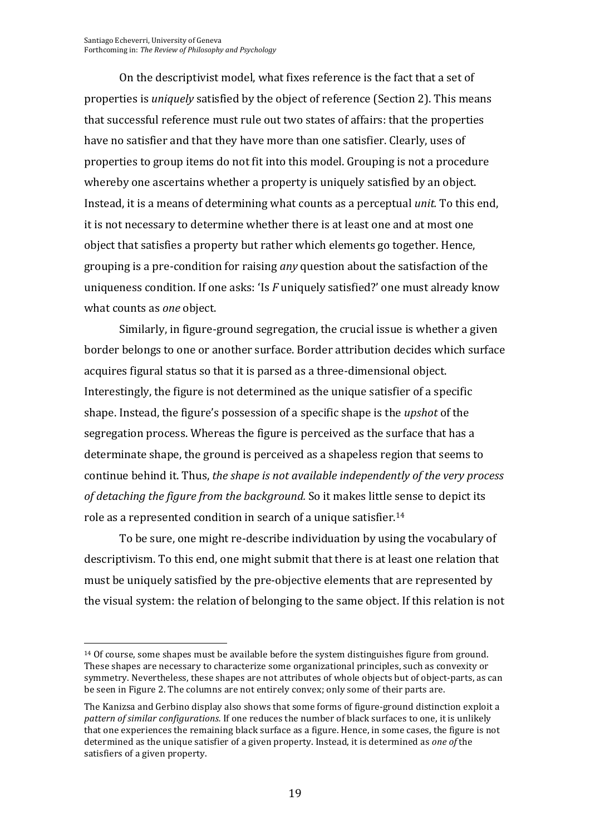On the descriptivist model, what fixes reference is the fact that a set of properties is *uniquely* satisfied by the object of reference (Section 2). This means that successful reference must rule out two states of affairs: that the properties have no satisfier and that they have more than one satisfier. Clearly, uses of properties to group items do not fit into this model. Grouping is not a procedure whereby one ascertains whether a property is uniquely satisfied by an object. Instead, it is a means of determining what counts as a perceptual *unit*. To this end, it is not necessary to determine whether there is at least one and at most one object that satisfies a property but rather which elements go together. Hence, grouping is a pre-condition for raising *any* question about the satisfaction of the uniqueness condition. If one asks: 'Is F uniquely satisfied?' one must already know what counts as *one* object.

Similarly, in figure-ground segregation, the crucial issue is whether a given border belongs to one or another surface. Border attribution decides which surface acquires figural status so that it is parsed as a three-dimensional object. Interestingly, the figure is not determined as the unique satisfier of a specific shape. Instead, the figure's possession of a specific shape is the *upshot* of the segregation process. Whereas the figure is perceived as the surface that has a determinate shape, the ground is perceived as a shapeless region that seems to continue behind it. Thus, *the shape is not available independently of the very process* of detaching the figure from the background. So it makes little sense to depict its role as a represented condition in search of a unique satisfier.<sup>14</sup>

To be sure, one might re-describe individuation by using the vocabulary of descriptivism. To this end, one might submit that there is at least one relation that must be uniquely satisfied by the pre-objective elements that are represented by the visual system: the relation of belonging to the same object. If this relation is not

 $14$  Of course, some shapes must be available before the system distinguishes figure from ground. These shapes are necessary to characterize some organizational principles, such as convexity or symmetry. Nevertheless, these shapes are not attributes of whole objects but of object-parts, as can be seen in Figure 2. The columns are not entirely convex; only some of their parts are.

The Kanizsa and Gerbino display also shows that some forms of figure-ground distinction exploit a *pattern of similar configurations.* If one reduces the number of black surfaces to one, it is unlikely that one experiences the remaining black surface as a figure. Hence, in some cases, the figure is not determined as the unique satisfier of a given property. Instead, it is determined as *one* of the satisfiers of a given property.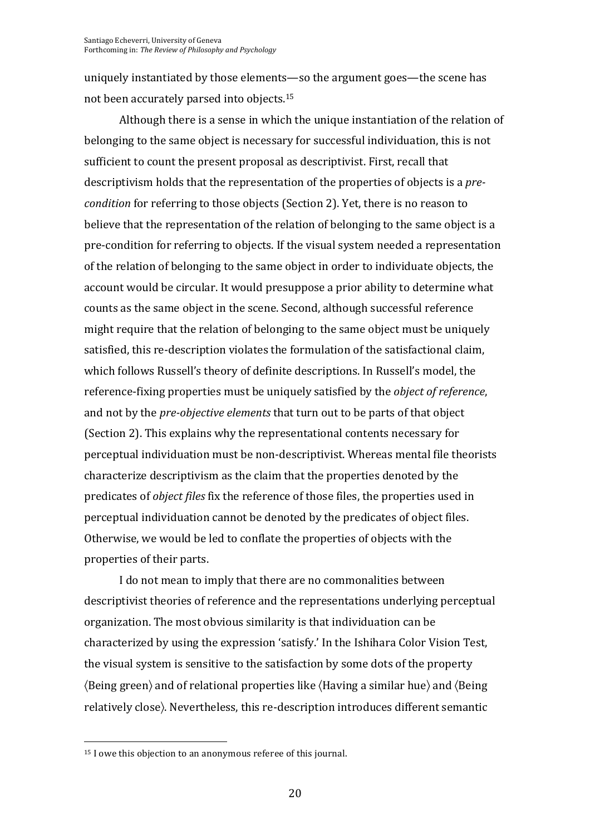uniquely instantiated by those elements—so the argument goes—the scene has not been accurately parsed into objects.<sup>15</sup>

Although there is a sense in which the unique instantiation of the relation of belonging to the same object is necessary for successful individuation, this is not sufficient to count the present proposal as descriptivist. First, recall that descriptivism holds that the representation of the properties of objects is a *precondition* for referring to those objects (Section 2). Yet, there is no reason to believe that the representation of the relation of belonging to the same object is a pre-condition for referring to objects. If the visual system needed a representation of the relation of belonging to the same object in order to individuate objects, the account would be circular. It would presuppose a prior ability to determine what counts as the same object in the scene. Second, although successful reference might require that the relation of belonging to the same object must be uniquely satisfied, this re-description violates the formulation of the satisfactional claim, which follows Russell's theory of definite descriptions. In Russell's model, the reference-fixing properties must be uniquely satisfied by the *object of reference*, and not by the *pre-objective elements* that turn out to be parts of that object (Section 2). This explains why the representational contents necessary for perceptual individuation must be non-descriptivist. Whereas mental file theorists characterize descriptivism as the claim that the properties denoted by the predicates of *object files* fix the reference of those files, the properties used in perceptual individuation cannot be denoted by the predicates of object files. Otherwise, we would be led to conflate the properties of objects with the properties of their parts.

I do not mean to imply that there are no commonalities between descriptivist theories of reference and the representations underlying perceptual organization. The most obvious similarity is that individuation can be characterized by using the expression 'satisfy.' In the Ishihara Color Vision Test, the visual system is sensitive to the satisfaction by some dots of the property  $\langle$ Being green $\rangle$  and of relational properties like  $\langle$ Having a similar hue $\rangle$  and  $\langle$ Being relatively close). Nevertheless, this re-description introduces different semantic

<sup>&</sup>lt;sup>15</sup> I owe this objection to an anonymous referee of this journal.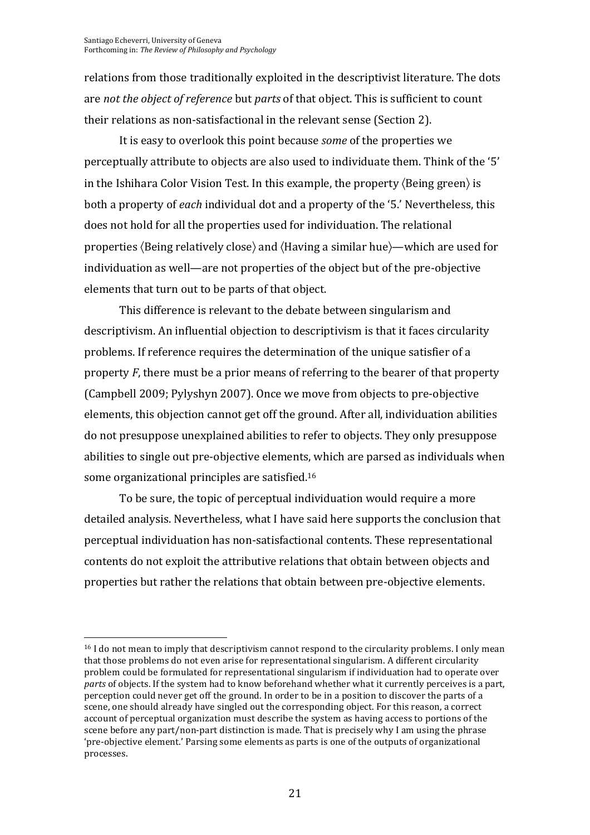relations from those traditionally exploited in the descriptivist literature. The dots are *not the object of reference* but *parts* of that object. This is sufficient to count their relations as non-satisfactional in the relevant sense (Section 2).

It is easy to overlook this point because *some* of the properties we perceptually attribute to objects are also used to individuate them. Think of the '5' in the Ishihara Color Vision Test. In this example, the property  $\langle$ Being green $\rangle$  is both a property of *each* individual dot and a property of the '5.' Nevertheless, this does not hold for all the properties used for individuation. The relational properties  $\langle$ Being relatively close $\rangle$  and  $\langle$ Having a similar hue $\rangle$ —which are used for individuation as well—are not properties of the object but of the pre-objective elements that turn out to be parts of that object.

This difference is relevant to the debate between singularism and descriptivism. An influential objection to descriptivism is that it faces circularity problems. If reference requires the determination of the unique satisfier of a property  $F$ , there must be a prior means of referring to the bearer of that property (Campbell 2009; Pylyshyn 2007). Once we move from objects to pre-objective elements, this objection cannot get off the ground. After all, individuation abilities do not presuppose unexplained abilities to refer to objects. They only presuppose abilities to single out pre-objective elements, which are parsed as individuals when some organizational principles are satisfied.<sup>16</sup>

To be sure, the topic of perceptual individuation would require a more detailed analysis. Nevertheless, what I have said here supports the conclusion that perceptual individuation has non-satisfactional contents. These representational contents do not exploit the attributive relations that obtain between objects and properties but rather the relations that obtain between pre-objective elements.

 $16$  I do not mean to imply that descriptivism cannot respond to the circularity problems. I only mean that those problems do not even arise for representational singularism. A different circularity problem could be formulated for representational singularism if individuation had to operate over *parts* of objects. If the system had to know beforehand whether what it currently perceives is a part, perception could never get off the ground. In order to be in a position to discover the parts of a scene, one should already have singled out the corresponding object. For this reason, a correct account of perceptual organization must describe the system as having access to portions of the scene before any part/non-part distinction is made. That is precisely why I am using the phrase 'pre-objective element.' Parsing some elements as parts is one of the outputs of organizational processes.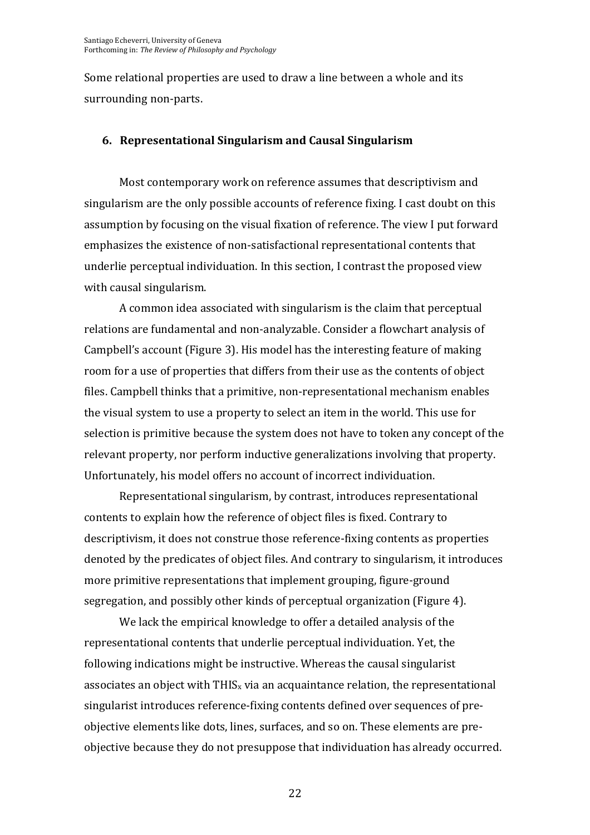Some relational properties are used to draw a line between a whole and its surrounding non-parts.

# **6. Representational Singularism and Causal Singularism**

Most contemporary work on reference assumes that descriptivism and singularism are the only possible accounts of reference fixing. I cast doubt on this assumption by focusing on the visual fixation of reference. The view I put forward emphasizes the existence of non-satisfactional representational contents that underlie perceptual individuation. In this section, I contrast the proposed view with causal singularism.

A common idea associated with singularism is the claim that perceptual relations are fundamental and non-analyzable. Consider a flowchart analysis of Campbell's account (Figure 3). His model has the interesting feature of making room for a use of properties that differs from their use as the contents of object files. Campbell thinks that a primitive, non-representational mechanism enables the visual system to use a property to select an item in the world. This use for selection is primitive because the system does not have to token any concept of the relevant property, nor perform inductive generalizations involving that property. Unfortunately, his model offers no account of incorrect individuation.

Representational singularism, by contrast, introduces representational contents to explain how the reference of object files is fixed. Contrary to descriptivism, it does not construe those reference-fixing contents as properties denoted by the predicates of object files. And contrary to singularism, it introduces more primitive representations that implement grouping, figure-ground segregation, and possibly other kinds of perceptual organization (Figure 4).

We lack the empirical knowledge to offer a detailed analysis of the representational contents that underlie perceptual individuation. Yet, the following indications might be instructive. Whereas the causal singularist associates an object with  $THIS<sub>x</sub>$  via an acquaintance relation, the representational singularist introduces reference-fixing contents defined over sequences of preobjective elements like dots, lines, surfaces, and so on. These elements are preobjective because they do not presuppose that individuation has already occurred.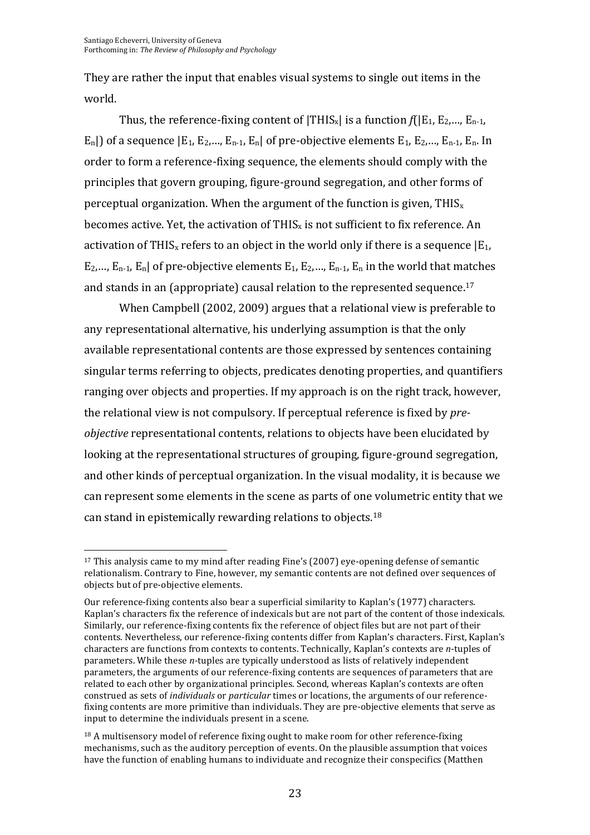They are rather the input that enables visual systems to single out items in the world.

Thus, the reference-fixing content of  $|THIS_x|$  is a function  $f([E_1, E_2,..., E_{n-1}, E_n])$  $E_n$ ) of a sequence  $[E_1, E_2,..., E_{n-1}, E_n]$  of pre-objective elements  $E_1, E_2,..., E_{n-1}, E_n$ . In order to form a reference-fixing sequence, the elements should comply with the principles that govern grouping, figure-ground segregation, and other forms of perceptual organization. When the argument of the function is given,  $THIS_x$ becomes active. Yet, the activation of THIS<sub>x</sub> is not sufficient to fix reference. An activation of THIS<sub>x</sub> refers to an object in the world only if there is a sequence  $|E_1|$ ,  $E_2,..., E_{n-1}, E_n$  of pre-objective elements  $E_1, E_2,..., E_{n-1}, E_n$  in the world that matches and stands in an (appropriate) causal relation to the represented sequence.<sup>17</sup>

When Campbell (2002, 2009) argues that a relational view is preferable to any representational alternative, his underlying assumption is that the only available representational contents are those expressed by sentences containing singular terms referring to objects, predicates denoting properties, and quantifiers ranging over objects and properties. If my approach is on the right track, however, the relational view is not compulsory. If perceptual reference is fixed by *preobjective* representational contents, relations to objects have been elucidated by looking at the representational structures of grouping, figure-ground segregation, and other kinds of perceptual organization. In the visual modality, it is because we can represent some elements in the scene as parts of one volumetric entity that we can stand in epistemically rewarding relations to objects.<sup>18</sup>

 <sup>17</sup> This analysis came to my mind after reading Fine's  $(2007)$  eve-opening defense of semantic relationalism. Contrary to Fine, however, my semantic contents are not defined over sequences of objects but of pre-objective elements.

Our reference-fixing contents also bear a superficial similarity to Kaplan's (1977) characters. Kaplan's characters fix the reference of indexicals but are not part of the content of those indexicals. Similarly, our reference-fixing contents fix the reference of object files but are not part of their contents. Nevertheless, our reference-fixing contents differ from Kaplan's characters. First, Kaplan's characters are functions from contexts to contents. Technically, Kaplan's contexts are *n*-tuples of parameters. While these *n*-tuples are typically understood as lists of relatively independent parameters, the arguments of our reference-fixing contents are sequences of parameters that are related to each other by organizational principles. Second, whereas Kaplan's contexts are often construed as sets of *individuals* or *particular* times or locations, the arguments of our referencefixing contents are more primitive than individuals. They are pre-objective elements that serve as input to determine the individuals present in a scene.

 $18$  A multisensory model of reference fixing ought to make room for other reference-fixing mechanisms, such as the auditory perception of events. On the plausible assumption that voices have the function of enabling humans to individuate and recognize their conspecifics (Matthen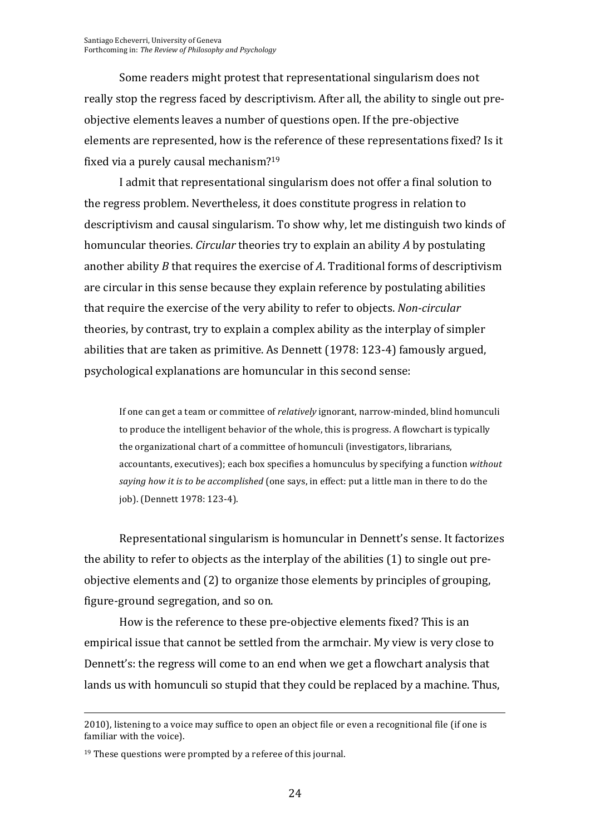Some readers might protest that representational singularism does not really stop the regress faced by descriptivism. After all, the ability to single out preobjective elements leaves a number of questions open. If the pre-objective elements are represented, how is the reference of these representations fixed? Is it fixed via a purely causal mechanism?<sup>19</sup>

I admit that representational singularism does not offer a final solution to the regress problem. Nevertheless, it does constitute progress in relation to descriptivism and causal singularism. To show why, let me distinguish two kinds of homuncular theories. *Circular* theories try to explain an ability A by postulating another ability *B* that requires the exercise of *A*. Traditional forms of descriptivism are circular in this sense because they explain reference by postulating abilities that require the exercise of the very ability to refer to objects. *Non-circular* theories, by contrast, try to explain a complex ability as the interplay of simpler abilities that are taken as primitive. As Dennett (1978: 123-4) famously argued, psychological explanations are homuncular in this second sense:

If one can get a team or committee of *relatively* ignorant, narrow-minded, blind homunculi to produce the intelligent behavior of the whole, this is progress. A flowchart is typically the organizational chart of a committee of homunculi (investigators, librarians, accountants, executives); each box specifies a homunculus by specifying a function *without* saying how it is to be accomplished (one says, in effect: put a little man in there to do the job). (Dennett 1978: 123-4).

Representational singularism is homuncular in Dennett's sense. It factorizes the ability to refer to objects as the interplay of the abilities  $(1)$  to single out preobjective elements and (2) to organize those elements by principles of grouping, figure-ground segregation, and so on.

How is the reference to these pre-objective elements fixed? This is an empirical issue that cannot be settled from the armchair. My view is very close to Dennett's: the regress will come to an end when we get a flowchart analysis that lands us with homunculi so stupid that they could be replaced by a machine. Thus,

<u> 1989 - Johann Stein, marwolaethau a bhann an chomhair an chomhair an chomhair an chomhair an chomhair an chom</u>

<sup>2010),</sup> listening to a voice may suffice to open an object file or even a recognitional file (if one is familiar with the voice).

 $19$  These questions were prompted by a referee of this journal.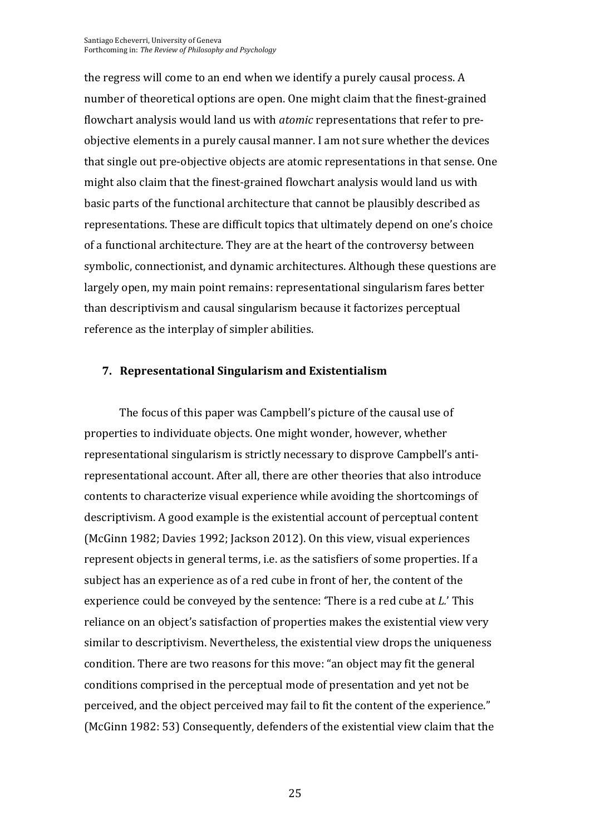the regress will come to an end when we identify a purely causal process. A number of theoretical options are open. One might claim that the finest-grained flowchart analysis would land us with *atomic* representations that refer to preobjective elements in a purely causal manner. I am not sure whether the devices that single out pre-objective objects are atomic representations in that sense. One might also claim that the finest-grained flowchart analysis would land us with basic parts of the functional architecture that cannot be plausibly described as representations. These are difficult topics that ultimately depend on one's choice of a functional architecture. They are at the heart of the controversy between symbolic, connectionist, and dynamic architectures. Although these questions are largely open, my main point remains: representational singularism fares better than descriptivism and causal singularism because it factorizes perceptual reference as the interplay of simpler abilities.

# **7. Representational Singularism and Existentialism**

The focus of this paper was Campbell's picture of the causal use of properties to individuate objects. One might wonder, however, whether representational singularism is strictly necessary to disprove Campbell's antirepresentational account. After all, there are other theories that also introduce contents to characterize visual experience while avoiding the shortcomings of descriptivism. A good example is the existential account of perceptual content (McGinn 1982; Davies 1992; Jackson 2012). On this view, visual experiences represent objects in general terms, i.e. as the satisfiers of some properties. If a subject has an experience as of a red cube in front of her, the content of the experience could be conveyed by the sentence: 'There is a red cube at *L*.' This reliance on an object's satisfaction of properties makes the existential view very similar to descriptivism. Nevertheless, the existential view drops the uniqueness condition. There are two reasons for this move: "an object may fit the general conditions comprised in the perceptual mode of presentation and yet not be perceived, and the object perceived may fail to fit the content of the experience." (McGinn 1982: 53) Consequently, defenders of the existential view claim that the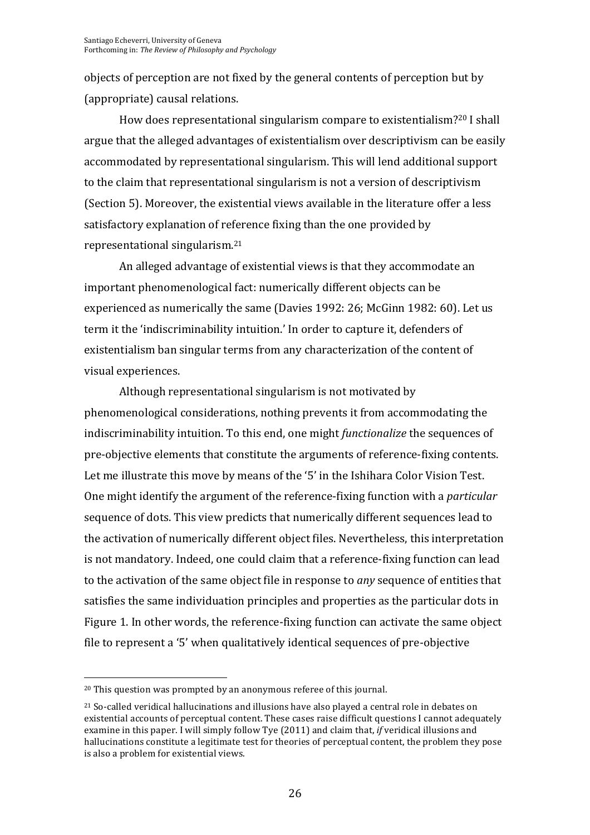objects of perception are not fixed by the general contents of perception but by (appropriate) causal relations.

How does representational singularism compare to existentialism?<sup>20</sup> I shall argue that the alleged advantages of existentialism over descriptivism can be easily accommodated by representational singularism. This will lend additional support to the claim that representational singularism is not a version of descriptivism (Section 5). Moreover, the existential views available in the literature offer a less satisfactory explanation of reference fixing than the one provided by representational singularism. $21$ 

An alleged advantage of existential views is that they accommodate an important phenomenological fact: numerically different objects can be experienced as numerically the same (Davies 1992: 26; McGinn 1982: 60). Let us term it the 'indiscriminability intuition.' In order to capture it, defenders of existentialism ban singular terms from any characterization of the content of visual experiences.

Although representational singularism is not motivated by phenomenological considerations, nothing prevents it from accommodating the indiscriminability intuition. To this end, one might *functionalize* the sequences of pre-objective elements that constitute the arguments of reference-fixing contents. Let me illustrate this move by means of the '5' in the Ishihara Color Vision Test. One might identify the argument of the reference-fixing function with a *particular* sequence of dots. This view predicts that numerically different sequences lead to the activation of numerically different object files. Nevertheless, this interpretation is not mandatory. Indeed, one could claim that a reference-fixing function can lead to the activation of the same object file in response to *any* sequence of entities that satisfies the same individuation principles and properties as the particular dots in Figure 1. In other words, the reference-fixing function can activate the same object file to represent a '5' when qualitatively identical sequences of pre-objective

 $20$  This question was prompted by an anonymous referee of this journal.

 $21$  So-called veridical hallucinations and illusions have also played a central role in debates on existential accounts of perceptual content. These cases raise difficult questions I cannot adequately examine in this paper. I will simply follow Tye (2011) and claim that, *if* veridical illusions and hallucinations constitute a legitimate test for theories of perceptual content, the problem they pose is also a problem for existential views.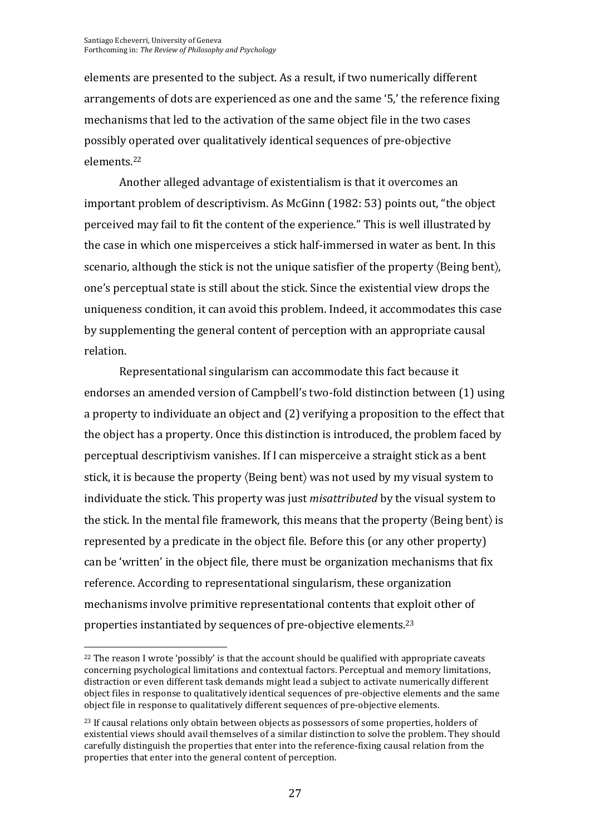elements are presented to the subject. As a result, if two numerically different arrangements of dots are experienced as one and the same '5,' the reference fixing mechanisms that led to the activation of the same object file in the two cases possibly operated over qualitatively identical sequences of pre-objective elements. 22

Another alleged advantage of existentialism is that it overcomes an important problem of descriptivism. As McGinn (1982: 53) points out, "the object perceived may fail to fit the content of the experience." This is well illustrated by the case in which one misperceives a stick half-immersed in water as bent. In this scenario, although the stick is not the unique satisfier of the property (Being bent), one's perceptual state is still about the stick. Since the existential view drops the uniqueness condition, it can avoid this problem. Indeed, it accommodates this case by supplementing the general content of perception with an appropriate causal relation.

Representational singularism can accommodate this fact because it endorses an amended version of Campbell's two-fold distinction between (1) using a property to individuate an object and (2) verifying a proposition to the effect that the object has a property. Once this distinction is introduced, the problem faced by perceptual descriptivism vanishes. If I can misperceive a straight stick as a bent stick, it is because the property  $\langle$ Being bent $\rangle$  was not used by my visual system to individuate the stick. This property was just *misattributed* by the visual system to the stick. In the mental file framework, this means that the property  $\langle$ Being bent $\rangle$  is represented by a predicate in the object file. Before this (or any other property) can be 'written' in the object file, there must be organization mechanisms that fix reference. According to representational singularism, these organization mechanisms involve primitive representational contents that exploit other of properties instantiated by sequences of pre-objective elements.<sup>23</sup>

  $22$  The reason I wrote 'possibly' is that the account should be qualified with appropriate caveats concerning psychological limitations and contextual factors. Perceptual and memory limitations, distraction or even different task demands might lead a subject to activate numerically different object files in response to qualitatively identical sequences of pre-objective elements and the same object file in response to qualitatively different sequences of pre-objective elements.

 $^{23}$  If causal relations only obtain between objects as possessors of some properties, holders of existential views should avail themselves of a similar distinction to solve the problem. They should carefully distinguish the properties that enter into the reference-fixing causal relation from the properties that enter into the general content of perception.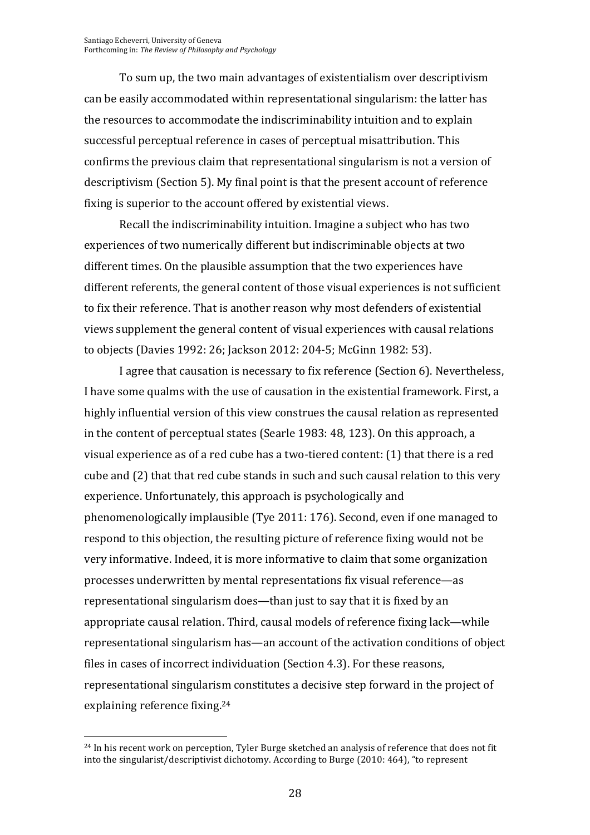To sum up, the two main advantages of existentialism over descriptivism can be easily accommodated within representational singularism: the latter has the resources to accommodate the indiscriminability intuition and to explain successful perceptual reference in cases of perceptual misattribution. This confirms the previous claim that representational singularism is not a version of descriptivism (Section 5). My final point is that the present account of reference fixing is superior to the account offered by existential views.

Recall the indiscriminability intuition. Imagine a subject who has two experiences of two numerically different but indiscriminable objects at two different times. On the plausible assumption that the two experiences have different referents, the general content of those visual experiences is not sufficient to fix their reference. That is another reason why most defenders of existential views supplement the general content of visual experiences with causal relations to objects (Davies 1992: 26; Jackson 2012: 204-5; McGinn 1982: 53).

I agree that causation is necessary to fix reference (Section 6). Nevertheless, I have some qualms with the use of causation in the existential framework. First, a highly influential version of this view construes the causal relation as represented in the content of perceptual states (Searle 1983: 48, 123). On this approach, a visual experience as of a red cube has a two-tiered content:  $(1)$  that there is a red cube and (2) that that red cube stands in such and such causal relation to this very experience. Unfortunately, this approach is psychologically and phenomenologically implausible (Tye 2011: 176). Second, even if one managed to respond to this objection, the resulting picture of reference fixing would not be very informative. Indeed, it is more informative to claim that some organization processes underwritten by mental representations fix visual reference—as representational singularism does—than just to say that it is fixed by an appropriate causal relation. Third, causal models of reference fixing lack—while representational singularism has—an account of the activation conditions of object files in cases of incorrect individuation (Section 4.3). For these reasons, representational singularism constitutes a decisive step forward in the project of explaining reference fixing.<sup>24</sup>

 $24$  In his recent work on perception, Tyler Burge sketched an analysis of reference that does not fit into the singularist/descriptivist dichotomy. According to Burge (2010: 464), "to represent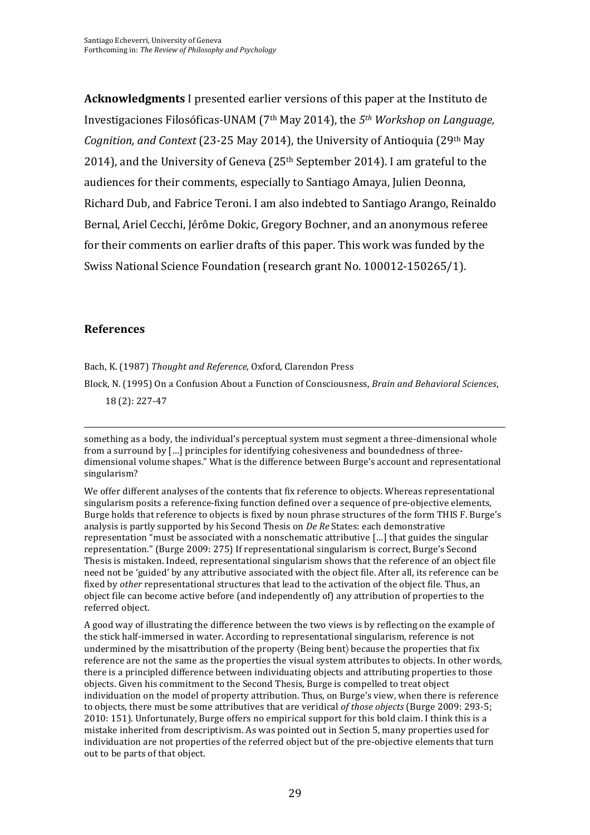**Acknowledgments** I presented earlier versions of this paper at the Instituto de Investigaciones Filosóficas-UNAM (7<sup>th</sup> May 2014), the 5<sup>th</sup> *Workshop on Language*, *Cognition, and Context* (23-25 May 2014), the University of Antioquia (29<sup>th</sup> May 2014), and the University of Geneva  $(25<sup>th</sup>$  September 2014). I am grateful to the audiences for their comments, especially to Santiago Amaya, Julien Deonna, Richard Dub, and Fabrice Teroni. I am also indebted to Santiago Arango, Reinaldo Bernal, Ariel Cecchi, Jérôme Dokic, Gregory Bochner, and an anonymous referee for their comments on earlier drafts of this paper. This work was funded by the Swiss National Science Foundation (research grant No. 100012-150265/1).

#### **References**

Bach, K. (1987) *Thought and Reference*, Oxford, Clarendon Press Block, N. (1995) On a Confusion About a Function of Consciousness, *Brain and Behavioral Sciences*, 18 (2): 227-47

<u> 1989 - Andrea Santa Andrea Andrea Andrea Andrea Andrea Andrea Andrea Andrea Andrea Andrea Andrea Andrea Andr</u>

something as a body, the individual's perceptual system must segment a three-dimensional whole from a surround by [...] principles for identifying cohesiveness and boundedness of threedimensional volume shapes." What is the difference between Burge's account and representational singularism?

We offer different analyses of the contents that fix reference to objects. Whereas representational singularism posits a reference-fixing function defined over a sequence of pre-objective elements, Burge holds that reference to objects is fixed by noun phrase structures of the form THIS F. Burge's analysis is partly supported by his Second Thesis on *De Re* States: each demonstrative representation "must be associated with a nonschematic attributive  $\left[\ldots\right]$  that guides the singular representation." (Burge 2009: 275) If representational singularism is correct, Burge's Second Thesis is mistaken. Indeed, representational singularism shows that the reference of an object file need not be 'guided' by any attributive associated with the object file. After all, its reference can be fixed by *other* representational structures that lead to the activation of the object file. Thus, an object file can become active before (and independently of) any attribution of properties to the referred object.

A good way of illustrating the difference between the two views is by reflecting on the example of the stick half-immersed in water. According to representational singularism, reference is not undermined by the misattribution of the property  $\langle$ Being bent $\rangle$  because the properties that fix reference are not the same as the properties the visual system attributes to objects. In other words, there is a principled difference between individuating objects and attributing properties to those objects. Given his commitment to the Second Thesis, Burge is compelled to treat object individuation on the model of property attribution. Thus, on Burge's view, when there is reference to objects, there must be some attributives that are veridical *of those objects* (Burge 2009: 293-5; 2010: 151). Unfortunately, Burge offers no empirical support for this bold claim. I think this is a mistake inherited from descriptivism. As was pointed out in Section 5, many properties used for individuation are not properties of the referred object but of the pre-objective elements that turn out to be parts of that object.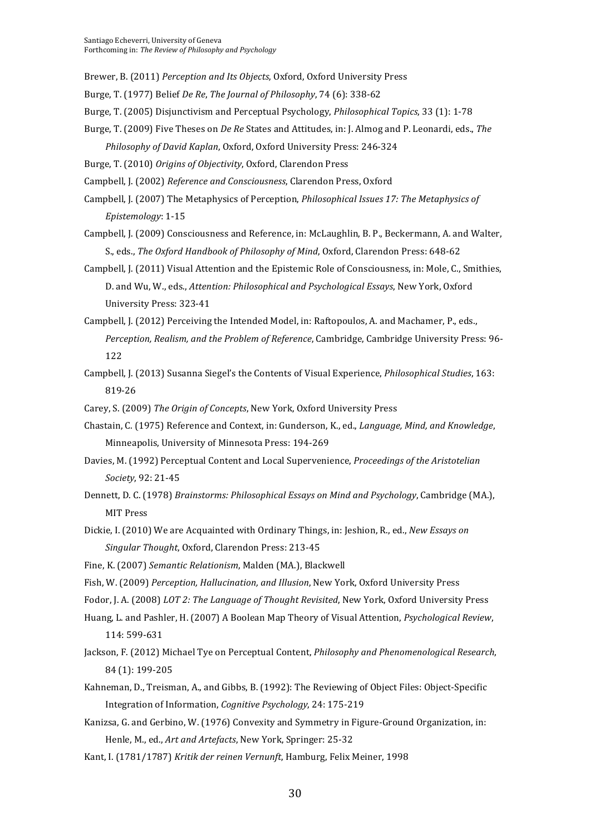Brewer, B. (2011) *Perception and Its Objects*, Oxford, Oxford University Press

- Burge, T. (1977) Belief *De Re*, *The Journal of Philosophy*, 74 (6): 338-62
- Burge, T. (2005) Disjunctivism and Perceptual Psychology, *Philosophical Topics*, 33 (1): 1-78
- Burge, T. (2009) Five Theses on *De Re* States and Attitudes, in: J. Almog and P. Leonardi, eds., *The*

*Philosophy of David Kaplan, Oxford, Oxford University Press: 246-324* 

Burge, T. (2010) *Origins of Objectivity*, Oxford, Clarendon Press

Campbell, J. (2002) *Reference and Consciousness*, Clarendon Press, Oxford

- Campbell, J. (2007) The Metaphysics of Perception, *Philosophical Issues 17: The Metaphysics of Epistemology*: 1-15
- Campbell, J. (2009) Consciousness and Reference, in: McLaughlin, B. P., Beckermann, A. and Walter, S., eds., *The Oxford Handbook of Philosophy of Mind*, Oxford, Clarendon Press: 648-62
- Campbell, J. (2011) Visual Attention and the Epistemic Role of Consciousness, in: Mole, C., Smithies, D. and Wu, W., eds., *Attention: Philosophical and Psychological Essays*, New York, Oxford University Press: 323-41
- Campbell, J. (2012) Perceiving the Intended Model, in: Raftopoulos, A. and Machamer, P., eds., *Perception, Realism, and the Problem of Reference, Cambridge, Cambridge University Press: 96-*122
- Campbell, J. (2013) Susanna Siegel's the Contents of Visual Experience, *Philosophical Studies*, 163: 819-26

Carey, S. (2009) *The Origin of Concepts*, New York, Oxford University Press

- Chastain, C. (1975) Reference and Context, in: Gunderson, K., ed., *Language, Mind, and Knowledge*, Minneapolis, University of Minnesota Press: 194-269
- Davies, M. (1992) Perceptual Content and Local Supervenience, *Proceedings of the Aristotelian Society*, 92: 21-45
- Dennett, D. C. (1978) *Brainstorms: Philosophical Essays on Mind and Psychology*, Cambridge (MA.), **MIT** Press
- Dickie, I. (2010) We are Acquainted with Ordinary Things, in: Jeshion, R., ed., *New Essays on Singular Thought, Oxford, Clarendon Press: 213-45*
- Fine, K. (2007) *Semantic Relationism*, Malden (MA.), Blackwell
- Fish, W. (2009) *Perception, Hallucination, and Illusion*, New York, Oxford University Press
- Fodor, J. A. (2008) *LOT 2: The Language of Thought Revisited*, New York, Oxford University Press
- Huang, L. and Pashler, H. (2007) A Boolean Map Theory of Visual Attention, *Psychological Review*, 114: 599-631
- Jackson, F. (2012) Michael Tye on Perceptual Content, *Philosophy and Phenomenological Research*, 84 (1): 199-205
- Kahneman, D., Treisman, A., and Gibbs, B. (1992): The Reviewing of Object Files: Object-Specific Integration of Information, *Cognitive Psychology*, 24: 175-219
- Kanizsa, G. and Gerbino, W. (1976) Convexity and Symmetry in Figure-Ground Organization, in: Henle, M., ed., Art and Artefacts, New York, Springer: 25-32
- Kant, I. (1781/1787) *Kritik der reinen Vernunft*, Hamburg, Felix Meiner, 1998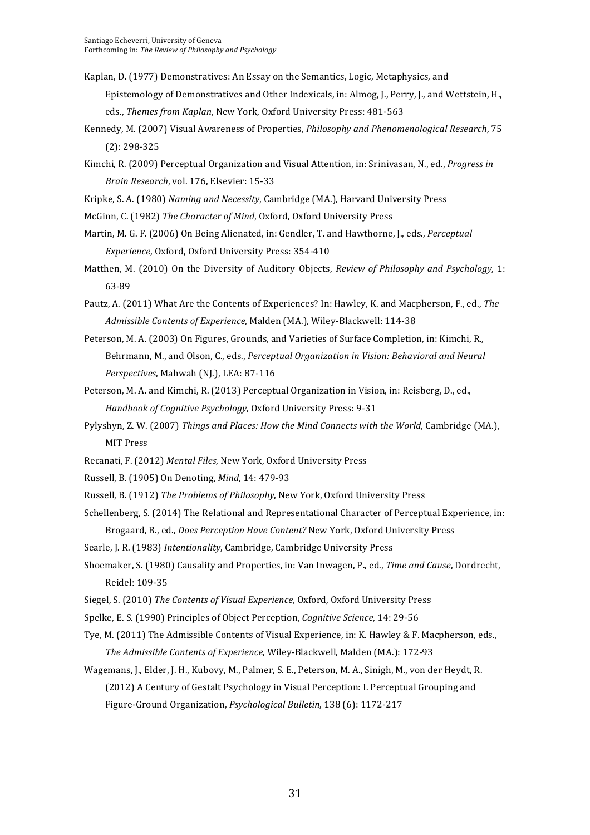- Kaplan, D. (1977) Demonstratives: An Essay on the Semantics, Logic, Metaphysics, and Epistemology of Demonstratives and Other Indexicals, in: Almog, J., Perry, J., and Wettstein, H., eds., Themes from Kaplan, New York, Oxford University Press: 481-563
- Kennedy, M. (2007) Visual Awareness of Properties, *Philosophy and Phenomenological Research*, 75 (2): 298-325
- Kimchi, R. (2009) Perceptual Organization and Visual Attention, in: Srinivasan, N., ed., *Progress in Brain Research*, vol. 176, Elsevier: 15-33
- Kripke, S. A. (1980) *Naming and Necessity*, Cambridge (MA.), Harvard University Press
- McGinn, C. (1982) The Character of Mind, Oxford, Oxford University Press
- Martin, M. G. F. (2006) On Being Alienated, in: Gendler, T. and Hawthorne, I., eds., *Perceptual Experience*, Oxford, Oxford University Press: 354-410
- Matthen, M. (2010) On the Diversity of Auditory Objects, *Review of Philosophy and Psychology*, 1: 63-89
- Pautz, A. (2011) What Are the Contents of Experiences? In: Hawley, K. and Macpherson, F., ed., *The* Admissible Contents of Experience, Malden (MA.), Wiley-Blackwell: 114-38
- Peterson, M. A. (2003) On Figures, Grounds, and Varieties of Surface Completion, in: Kimchi, R., Behrmann, M., and Olson, C., eds., *Perceptual Organization in Vision: Behavioral and Neural Perspectives*, Mahwah (NJ.), LEA: 87-116
- Peterson, M. A. and Kimchi, R. (2013) Perceptual Organization in Vision, in: Reisberg, D., ed., *Handbook of Cognitive Psychology*, Oxford University Press: 9-31
- Pylyshyn, Z. W. (2007) *Things and Places: How the Mind Connects with the World*, Cambridge (MA.), **MIT Press**
- Recanati, F. (2012) Mental Files, New York, Oxford University Press
- Russell, B. (1905) On Denoting, *Mind*, 14: 479-93
- Russell, B. (1912) The Problems of Philosophy, New York, Oxford University Press
- Schellenberg, S. (2014) The Relational and Representational Character of Perceptual Experience, in: Brogaard, B., ed., *Does Perception Have Content?* New York, Oxford University Press
- Searle, J. R. (1983) *Intentionality*, Cambridge, Cambridge University Press
- Shoemaker, S. (1980) Causality and Properties, in: Van Inwagen, P., ed., *Time and Cause*, Dordrecht, Reidel: 109-35
- Siegel, S. (2010) *The Contents of Visual Experience*, Oxford, Oxford University Press
- Spelke, E. S. (1990) Principles of Object Perception, *Cognitive Science*, 14: 29-56
- Tye, M. (2011) The Admissible Contents of Visual Experience, in: K. Hawley & F. Macpherson, eds., The Admissible Contents of Experience, Wiley-Blackwell, Malden (MA.): 172-93
- Wagemans, J., Elder, J. H., Kubovy, M., Palmer, S. E., Peterson, M. A., Sinigh, M., von der Heydt, R. (2012) A Century of Gestalt Psychology in Visual Perception: I. Perceptual Grouping and Figure-Ground Organization, *Psychological Bulletin*, 138 (6): 1172-217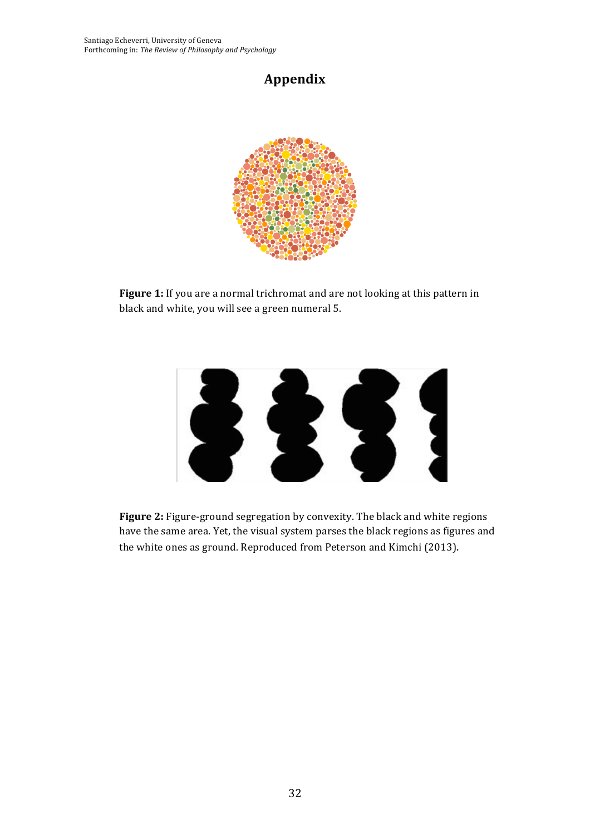# **Appendix**



**Figure 1:** If you are a normal trichromat and are not looking at this pattern in black and white, you will see a green numeral 5.



**Figure 2:** Figure-ground segregation by convexity. The black and white regions have the same area. Yet, the visual system parses the black regions as figures and the white ones as ground. Reproduced from Peterson and Kimchi (2013).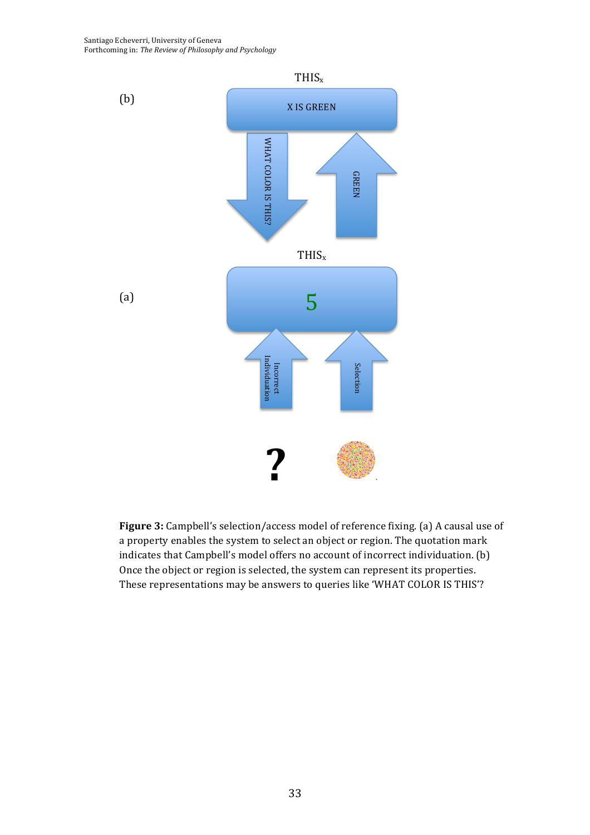Santiago Echeverri, University of Geneva Forthcoming in: The Review of Philosophy and Psychology



Figure 3: Campbell's selection/access model of reference fixing. (a) A causal use of a property enables the system to select an object or region. The quotation mark indicates that Campbell's model offers no account of incorrect individuation. (b) Once the object or region is selected, the system can represent its properties.